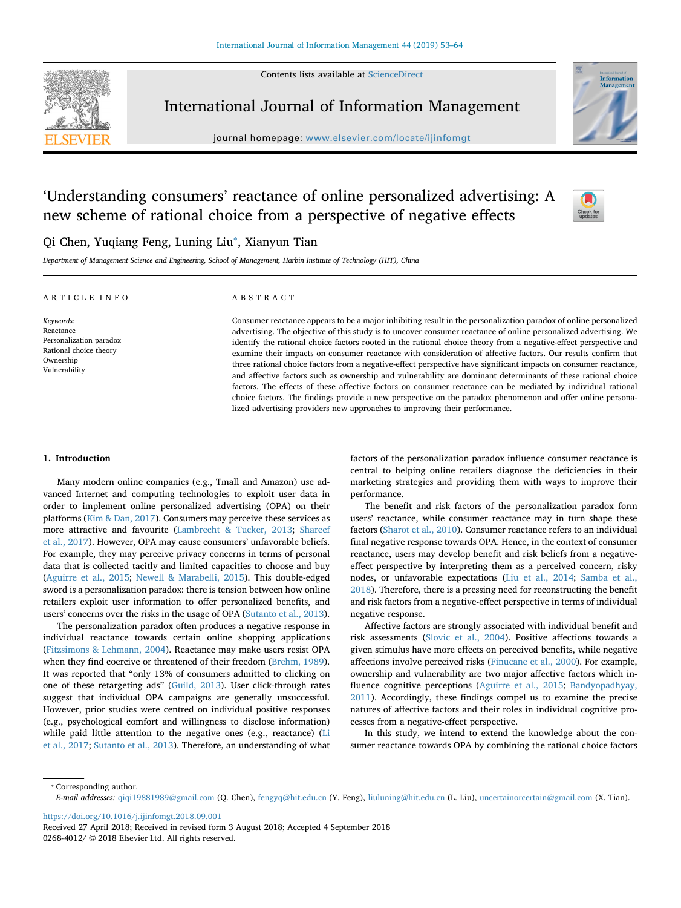Contents lists available at [ScienceDirect](http://www.sciencedirect.com/science/journal/02684012)



International Journal of Information Management

journal homepage: [www.elsevier.com/locate/ijinfomgt](https://www.elsevier.com/locate/ijinfomgt)



# 'Understanding consumers' reactance of online personalized advertising: A new scheme of rational choice from a perspective of negative effects



# Qi Chen, Yuqiang Feng, Luning Liu<sup>\*</sup>, Xianyun Tian

*Department of Management Science and Engineering, School of Management, Harbin Institute of Technology (HIT), China*

| ARTICLE INFO                                      | ABSTRACT                                                                                                         |
|---------------------------------------------------|------------------------------------------------------------------------------------------------------------------|
| Keywords:                                         | Consumer reactance appears to be a major inhibiting result in the personalization paradox of online personalized |
| Reactance                                         | advertising. The objective of this study is to uncover consumer reactance of online personalized advertising. We |
| Personalization paradox<br>Rational choice theory | identify the rational choice factors rooted in the rational choice theory from a negative-effect perspective and |
|                                                   | examine their impacts on consumer reactance with consideration of affective factors. Our results confirm that    |
| Ownership                                         | three rational choice factors from a negative-effect perspective have significant impacts on consumer reactance, |
| Vulnerability                                     | and affective factors such as ownership and vulnerability are dominant determinants of these rational choice     |
|                                                   | factors. The effects of these affective factors on consumer reactance can be mediated by individual rational     |
|                                                   | choice factors. The findings provide a new perspective on the paradox phenomenon and offer online persona-       |
|                                                   | lized advertising providers new approaches to improving their performance.                                       |

# **1. Introduction**

Many modern online companies (e.g., Tmall and Amazon) use advanced Internet and computing technologies to exploit user data in order to implement online personalized advertising (OPA) on their platforms [\(Kim & Dan, 2017\)](#page-10-0). Consumers may perceive these services as more attractive and favourite ([Lambrecht & Tucker, 2013;](#page-10-1) [Shareef](#page-11-0) [et al., 2017](#page-11-0)). However, OPA may cause consumers' unfavorable beliefs. For example, they may perceive privacy concerns in terms of personal data that is collected tacitly and limited capacities to choose and buy ([Aguirre et al., 2015](#page-10-2); [Newell & Marabelli, 2015\)](#page-10-3). This double-edged sword is a personalization paradox: there is tension between how online retailers exploit user information to offer personalized benefits, and users' concerns over the risks in the usage of OPA [\(Sutanto et al., 2013](#page-11-1)).

The personalization paradox often produces a negative response in individual reactance towards certain online shopping applications ([Fitzsimons & Lehmann, 2004\)](#page-10-4). Reactance may make users resist OPA when they find coercive or threatened of their freedom ([Brehm, 1989](#page-10-5)). It was reported that "only 13% of consumers admitted to clicking on one of these retargeting ads" [\(Guild, 2013](#page-10-6)). User click-through rates suggest that individual OPA campaigns are generally unsuccessful. However, prior studies were centred on individual positive responses (e.g., psychological comfort and willingness to disclose information) while paid little attention to the negative ones (e.g., reactance) [\(Li](#page-10-7) [et al., 2017;](#page-10-7) [Sutanto et al., 2013\)](#page-11-1). Therefore, an understanding of what factors of the personalization paradox influence consumer reactance is central to helping online retailers diagnose the deficiencies in their marketing strategies and providing them with ways to improve their performance.

The benefit and risk factors of the personalization paradox form users' reactance, while consumer reactance may in turn shape these factors [\(Sharot et al., 2010\)](#page-11-2). Consumer reactance refers to an individual final negative response towards OPA. Hence, in the context of consumer reactance, users may develop benefit and risk beliefs from a negativeeffect perspective by interpreting them as a perceived concern, risky nodes, or unfavorable expectations ([Liu et al., 2014;](#page-10-8) [Samba et al.,](#page-11-3) [2018\)](#page-11-3). Therefore, there is a pressing need for reconstructing the benefit and risk factors from a negative-effect perspective in terms of individual negative response.

Affective factors are strongly associated with individual benefit and risk assessments ([Slovic et al., 2004\)](#page-11-4). Positive affections towards a given stimulus have more effects on perceived benefits, while negative affections involve perceived risks [\(Finucane et al., 2000](#page-10-9)). For example, ownership and vulnerability are two major affective factors which influence cognitive perceptions ([Aguirre et al., 2015;](#page-10-2) [Bandyopadhyay,](#page-10-10) [2011\)](#page-10-10). Accordingly, these findings compel us to examine the precise natures of affective factors and their roles in individual cognitive processes from a negative-effect perspective.

In this study, we intend to extend the knowledge about the consumer reactance towards OPA by combining the rational choice factors

<span id="page-0-0"></span>⁎ Corresponding author.

<https://doi.org/10.1016/j.ijinfomgt.2018.09.001>

*E-mail addresses:* [qiqi19881989@gmail.com](mailto:qiqi19881989@gmail.com) (Q. Chen), [fengyq@hit.edu.cn](mailto:fengyq@hit.edu.cn) (Y. Feng), [liuluning@hit.edu.cn](mailto:liuluning@hit.edu.cn) (L. Liu), [uncertainorcertain@gmail.com](mailto:uncertainorcertain@gmail.com) (X. Tian).

Received 27 April 2018; Received in revised form 3 August 2018; Accepted 4 September 2018 0268-4012/ © 2018 Elsevier Ltd. All rights reserved.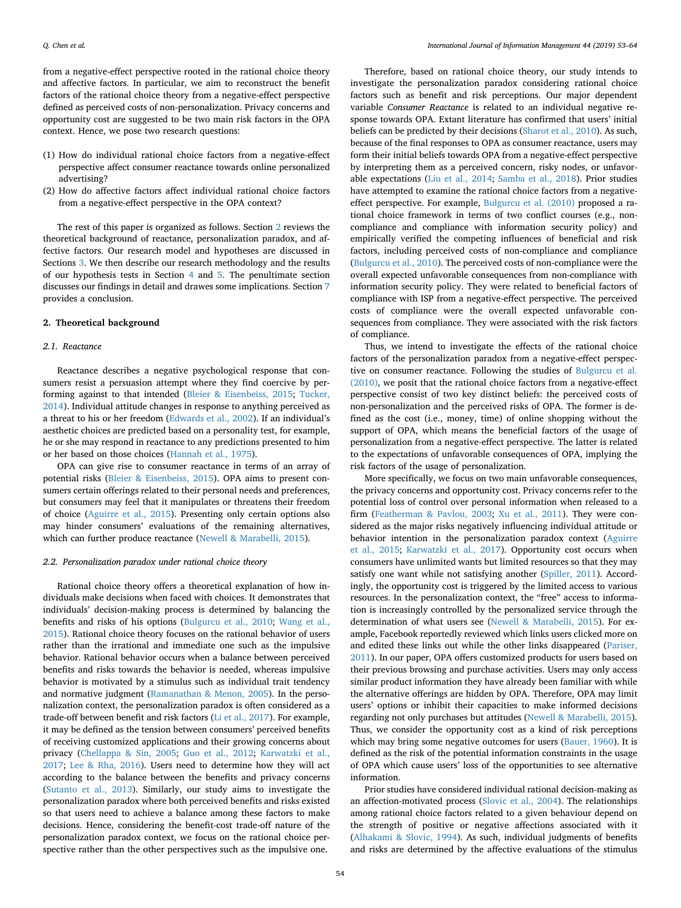from a negative-effect perspective rooted in the rational choice theory and affective factors. In particular, we aim to reconstruct the benefit factors of the rational choice theory from a negative-effect perspective defined as perceived costs of non-personalization. Privacy concerns and opportunity cost are suggested to be two main risk factors in the OPA context. Hence, we pose two research questions:

- (1) How do individual rational choice factors from a negative-effect perspective affect consumer reactance towards online personalized advertising?
- (2) How do affective factors affect individual rational choice factors from a negative-effect perspective in the OPA context?

The rest of this paper is organized as follows. Section [2](#page-1-0) reviews the theoretical background of reactance, personalization paradox, and affective factors. Our research model and hypotheses are discussed in Sections [3](#page-3-0). We then describe our research methodology and the results of our hypothesis tests in Section [4](#page-4-0) and [5.](#page-5-0) The penultimate section discusses our findings in detail and drawes some implications. Section [7](#page-8-0) provides a conclusion.

#### <span id="page-1-0"></span>**2. Theoretical background**

#### *2.1. Reactance*

Reactance describes a negative psychological response that consumers resist a persuasion attempt where they find coercive by performing against to that intended ([Bleier & Eisenbeiss, 2015](#page-10-11); [Tucker,](#page-11-5) [2014\)](#page-11-5). Individual attitude changes in response to anything perceived as a threat to his or her freedom [\(Edwards et al., 2002](#page-10-12)). If an individual's aesthetic choices are predicted based on a personality test, for example, he or she may respond in reactance to any predictions presented to him or her based on those choices [\(Hannah et al., 1975](#page-10-13)).

OPA can give rise to consumer reactance in terms of an array of potential risks ([Bleier & Eisenbeiss, 2015\)](#page-10-11). OPA aims to present consumers certain offerings related to their personal needs and preferences, but consumers may feel that it manipulates or threatens their freedom of choice [\(Aguirre et al., 2015](#page-10-2)). Presenting only certain options also may hinder consumers' evaluations of the remaining alternatives, which can further produce reactance ([Newell & Marabelli, 2015](#page-10-3)).

#### *2.2. Personalization paradox under rational choice theory*

Rational choice theory offers a theoretical explanation of how individuals make decisions when faced with choices. It demonstrates that individuals' decision-making process is determined by balancing the benefits and risks of his options ([Bulgurcu et al., 2010;](#page-10-14) [Wang et al.,](#page-11-6) [2015\)](#page-11-6). Rational choice theory focuses on the rational behavior of users rather than the irrational and immediate one such as the impulsive behavior. Rational behavior occurs when a balance between perceived benefits and risks towards the behavior is needed, whereas impulsive behavior is motivated by a stimulus such as individual trait tendency and normative judgment ([Ramanathan & Menon, 2005\)](#page-11-7). In the personalization context, the personalization paradox is often considered as a trade-off between benefit and risk factors [\(Li et al., 2017\)](#page-10-7). For example, it may be defined as the tension between consumers' perceived benefits of receiving customized applications and their growing concerns about privacy ([Chellappa & Sin, 2005](#page-10-15); [Guo et al., 2012;](#page-10-16) [Karwatzki et al.,](#page-10-17) [2017;](#page-10-17) [Lee & Rha, 2016](#page-10-18)). Users need to determine how they will act according to the balance between the benefits and privacy concerns ([Sutanto et al., 2013\)](#page-11-1). Similarly, our study aims to investigate the personalization paradox where both perceived benefits and risks existed so that users need to achieve a balance among these factors to make decisions. Hence, considering the benefit-cost trade-off nature of the personalization paradox context, we focus on the rational choice perspective rather than the other perspectives such as the impulsive one.

Therefore, based on rational choice theory, our study intends to investigate the personalization paradox considering rational choice factors such as benefit and risk perceptions. Our major dependent variable *Consumer Reactance* is related to an individual negative response towards OPA. Extant literature has confirmed that users' initial beliefs can be predicted by their decisions [\(Sharot et al., 2010\)](#page-11-2). As such, because of the final responses to OPA as consumer reactance, users may form their initial beliefs towards OPA from a negative-effect perspective by interpreting them as a perceived concern, risky nodes, or unfavorable expectations ([Liu et al., 2014;](#page-10-8) [Samba et al., 2018](#page-11-3)). Prior studies have attempted to examine the rational choice factors from a negativeeffect perspective. For example, [Bulgurcu et al. \(2010\)](#page-10-14) proposed a rational choice framework in terms of two conflict courses (e.g., noncompliance and compliance with information security policy) and empirically verified the competing influences of beneficial and risk factors, including perceived costs of non-compliance and compliance ([Bulgurcu et al., 2010\)](#page-10-14). The perceived costs of non-compliance were the overall expected unfavorable consequences from non-compliance with information security policy. They were related to beneficial factors of compliance with ISP from a negative-effect perspective. The perceived costs of compliance were the overall expected unfavorable consequences from compliance. They were associated with the risk factors of compliance.

Thus, we intend to investigate the effects of the rational choice factors of the personalization paradox from a negative-effect perspective on consumer reactance. Following the studies of [Bulgurcu et al.](#page-10-14) [\(2010\),](#page-10-14) we posit that the rational choice factors from a negative-effect perspective consist of two key distinct beliefs: the perceived costs of non-personalization and the perceived risks of OPA. The former is defined as the cost (i.e., money, time) of online shopping without the support of OPA, which means the beneficial factors of the usage of personalization from a negative-effect perspective. The latter is related to the expectations of unfavorable consequences of OPA, implying the risk factors of the usage of personalization.

More specifically, we focus on two main unfavorable consequences, the privacy concerns and opportunity cost. Privacy concerns refer to the potential loss of control over personal information when released to a firm [\(Featherman & Pavlou, 2003;](#page-10-19) [Xu et al., 2011](#page-11-8)). They were considered as the major risks negatively influencing individual attitude or behavior intention in the personalization paradox context [\(Aguirre](#page-10-2) [et al., 2015;](#page-10-2) [Karwatzki et al., 2017](#page-10-17)). Opportunity cost occurs when consumers have unlimited wants but limited resources so that they may satisfy one want while not satisfying another ([Spiller, 2011](#page-11-9)). Accordingly, the opportunity cost is triggered by the limited access to various resources. In the personalization context, the "free" access to information is increasingly controlled by the personalized service through the determination of what users see ([Newell & Marabelli, 2015\)](#page-10-3). For example, Facebook reportedly reviewed which links users clicked more on and edited these links out while the other links disappeared [\(Pariser,](#page-11-10) [2011\)](#page-11-10). In our paper, OPA offers customized products for users based on their previous browsing and purchase activities. Users may only access similar product information they have already been familiar with while the alternative offerings are hidden by OPA. Therefore, OPA may limit users' options or inhibit their capacities to make informed decisions regarding not only purchases but attitudes ([Newell & Marabelli, 2015](#page-10-3)). Thus, we consider the opportunity cost as a kind of risk perceptions which may bring some negative outcomes for users ([Bauer, 1960\)](#page-10-20). It is defined as the risk of the potential information constraints in the usage of OPA which cause users' loss of the opportunities to see alternative information.

Prior studies have considered individual rational decision-making as an affection-motivated process [\(Slovic et al., 2004\)](#page-11-4). The relationships among rational choice factors related to a given behaviour depend on the strength of positive or negative affections associated with it ([Alhakami & Slovic, 1994\)](#page-10-21). As such, individual judgments of benefits and risks are determined by the affective evaluations of the stimulus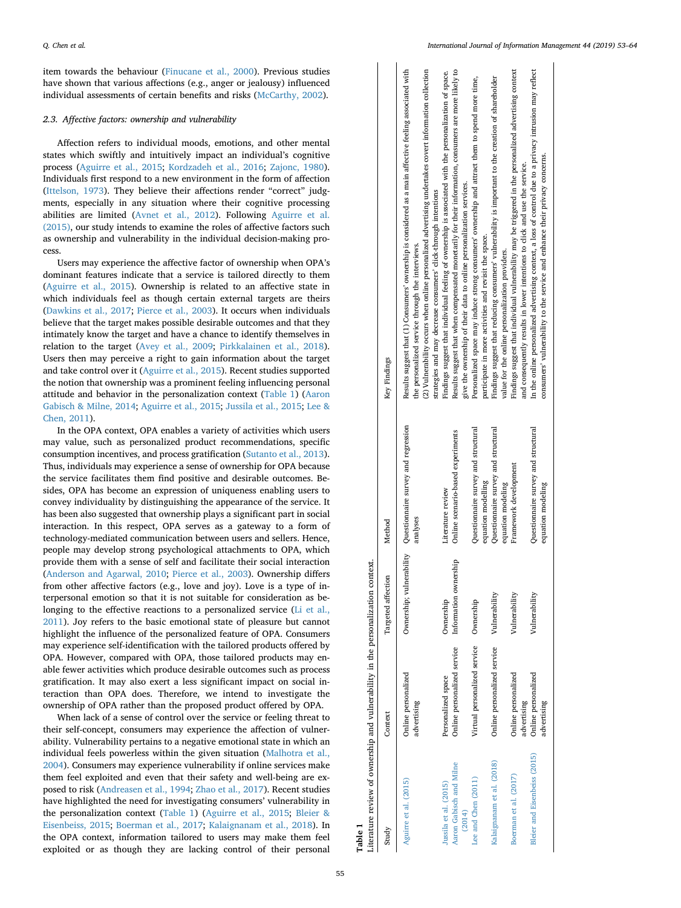item towards the behaviour ([Finucane et al., 2000](#page-10-9)). Previous studies have shown that various affections (e.g., anger or jealousy) influenced individual assessments of certain benefits and risks [\(McCarthy, 2002](#page-10-22)).

#### *2.3. Affective factors: ownership and vulnerability*

Affection refers to individual moods, emotions, and other mental states which swiftly and intuitively impact an individual's cognitive process ([Aguirre et al., 2015;](#page-10-2) [Kordzadeh et al., 2016;](#page-10-23) [Zajonc, 1980](#page-11-11)). Individuals first respond to a new environment in the form of affection ([Ittelson, 1973\)](#page-10-24). They believe their affections render "correct" judgments, especially in any situation where their cognitive processing abilities are limited [\(Avnet et al., 2012](#page-10-25)). Following [Aguirre et al.](#page-10-2) [\(2015\),](#page-10-2) our study intends to examine the roles of affective factors such as ownership and vulnerability in the individual decision-making process.

Users may experience the affective factor of ownership when OPA's dominant features indicate that a service is tailored directly to them ([Aguirre et al., 2015](#page-10-2)). Ownership is related to an affective state in which individuals feel as though certain external targets are theirs ([Dawkins et al., 2017;](#page-10-26) [Pierce et al., 2003\)](#page-11-12). It occurs when individuals believe that the target makes possible desirable outcomes and that they intimately know the target and have a chance to identify themselves in relation to the target ([Avey et al., 2009](#page-10-27); [Pirkkalainen et al., 2018](#page-11-13)). Users then may perceive a right to gain information about the target and take control over it [\(Aguirre et al., 2015\)](#page-10-2). Recent studies supported the notion that ownership was a prominent feeling influencing personal attitude and behavior in the personalization context [\(Table 1](#page-2-0)) [\(Aaron](#page-10-28) [Gabisch & Milne, 2014;](#page-10-28) [Aguirre et al., 2015;](#page-10-2) [Jussila et al., 2015;](#page-10-29) [Lee &](#page-10-30) [Chen, 2011](#page-10-30)).

In the OPA context, OPA enables a variety of activities which users may value, such as personalized product recommendations, specific consumption incentives, and process gratification [\(Sutanto et al., 2013](#page-11-1)). Thus, individuals may experience a sense of ownership for OPA because the service facilitates them find positive and desirable outcomes. Besides, OPA has become an expression of uniqueness enabling users to convey individuality by distinguishing the appearance of the service. It has been also suggested that ownership plays a significant part in social interaction. In this respect, OPA serves as a gateway to a form of technology-mediated communication between users and sellers. Hence, people may develop strong psychological attachments to OPA, which provide them with a sense of self and facilitate their social interaction ([Anderson and Agarwal, 2010;](#page-10-31) [Pierce et al., 2003\)](#page-11-12). Ownership differs from other affective factors (e.g., love and joy). Love is a type of interpersonal emotion so that it is not suitable for consideration as be-longing to the effective reactions to a personalized service ([Li et al.,](#page-10-32) [2011\)](#page-10-32). Joy refers to the basic emotional state of pleasure but cannot highlight the influence of the personalized feature of OPA. Consumers may experience self-identification with the tailored products offered by OPA. However, compared with OPA, those tailored products may enable fewer activities which produce desirable outcomes such as process gratification. It may also exert a less significant impact on social interaction than OPA does. Therefore, we intend to investigate the ownership of OPA rather than the proposed product offered by OPA.

When lack of a sense of control over the service or feeling threat to their self-concept, consumers may experience the affection of vulnerability. Vulnerability pertains to a negative emotional state in which an individual feels powerless within the given situation ([Malhotra et al.,](#page-10-33) [2004\)](#page-10-33). Consumers may experience vulnerability if online services make them feel exploited and even that their safety and well-being are exposed to risk ([Andreasen et al., 1994;](#page-10-34) [Zhao et al., 2017\)](#page-11-14). Recent studies have highlighted the need for investigating consumers' vulnerability in the personalization context ([Table 1](#page-2-0)) [\(Aguirre et al., 2015](#page-10-2); [Bleier &](#page-10-11) [Eisenbeiss, 2015](#page-10-11); [Boerman et al., 2017;](#page-10-35) [Kalaignanam et al., 2018](#page-10-36)). In the OPA context, information tailored to users may make them feel exploited or as though they are lacking control of their personal  $\mathbf{I}$ 

<span id="page-2-0"></span>

| Table 1                                                    | Literature review of ownership and vulnerability in the personalization context. |                                    |                                                                          |                                                                                                                                                                                                                                                                                                                                          |
|------------------------------------------------------------|----------------------------------------------------------------------------------|------------------------------------|--------------------------------------------------------------------------|------------------------------------------------------------------------------------------------------------------------------------------------------------------------------------------------------------------------------------------------------------------------------------------------------------------------------------------|
| Study                                                      | Context                                                                          | Targeted affection                 | Method                                                                   | Key Findings                                                                                                                                                                                                                                                                                                                             |
| Aguirre et al. (2015)                                      | Online personalized<br>advertising                                               |                                    | Ownership; vulnerability Questionnaire survey and regression<br>analyses | Results suggest that (1) Consumers' ownership is considered as a main affective feeling associated with<br>(2) Vulnerability occurs when online personalized advertising undertakes covert information collection<br>strategies and may decrease consumers' click-through intentions<br>the personalized service through the interviews. |
| Aaron Gabisch and Milne<br>Jussila et al. (2015)<br>(2014) | Online personalized service<br>Personalized space                                | Information ownership<br>Ownership | Online scenario-based experiments<br>Literature review                   | Findings suggest that individual feeling of ownership is associated with the personalization of space.<br>Results suggest that when compensated monetarily for their information, consumers are more likely to<br>give the ownership of their data to online personalization services.                                                   |
| Lee and Chen (2011)                                        | Virtual personalized service Ownership                                           |                                    | Questionnaire survey and structural<br>equation modelling                | Personalized space may induce strong consumers' ownership and attract them to spend more time,<br>participate in more activities and revisit the space.                                                                                                                                                                                  |
| Kalaignanam et al. (2018)                                  | Online personalized service                                                      | Vulnerability                      | Questionnaire survey and structural<br>equation modeling                 | Findings suggest that reducing consumers' vulnerability is important to the creation of shareholder<br>value for the online personalization providers.                                                                                                                                                                                   |
| Boerman et al. (2017)                                      | Online personalized<br>advertising                                               | Vulnerability                      | Framework development                                                    | Findings suggest that individual vulnerability may be triggered in the personalized advertising context<br>and consequently results in lower intentions to click and use the service.                                                                                                                                                    |
| Bleier and Eisenbeiss (2015)                               | Online personalized<br>advertising                                               | Vulnerability                      | Questionnaire survey and structural<br>equation modeling                 | In the online personalized advertising context, a loss of control due to a privacy intrusion may reflect<br>consumers' vulnerability to the service and enhance their privacy concerns.                                                                                                                                                  |
|                                                            |                                                                                  |                                    |                                                                          |                                                                                                                                                                                                                                                                                                                                          |

 $\overline{1}$  $\overline{\phantom{a}}$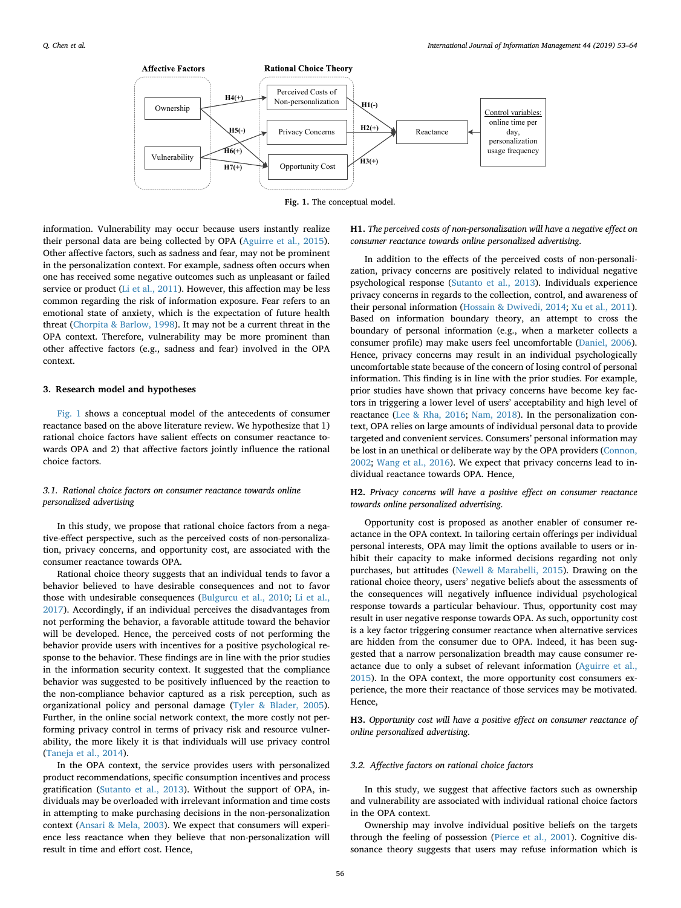<span id="page-3-1"></span>

**Fig. 1.** The conceptual model.

information. Vulnerability may occur because users instantly realize their personal data are being collected by OPA ([Aguirre et al., 2015](#page-10-2)). Other affective factors, such as sadness and fear, may not be prominent in the personalization context. For example, sadness often occurs when one has received some negative outcomes such as unpleasant or failed service or product ([Li et al., 2011\)](#page-10-32). However, this affection may be less common regarding the risk of information exposure. Fear refers to an emotional state of anxiety, which is the expectation of future health threat [\(Chorpita & Barlow, 1998\)](#page-10-37). It may not be a current threat in the OPA context. Therefore, vulnerability may be more prominent than other affective factors (e.g., sadness and fear) involved in the OPA context.

#### <span id="page-3-0"></span>**3. Research model and hypotheses**

[Fig. 1](#page-3-1) shows a conceptual model of the antecedents of consumer reactance based on the above literature review. We hypothesize that 1) rational choice factors have salient effects on consumer reactance towards OPA and 2) that affective factors jointly influence the rational choice factors.

# *3.1. Rational choice factors on consumer reactance towards online personalized advertising*

In this study, we propose that rational choice factors from a negative-effect perspective, such as the perceived costs of non-personalization, privacy concerns, and opportunity cost, are associated with the consumer reactance towards OPA.

Rational choice theory suggests that an individual tends to favor a behavior believed to have desirable consequences and not to favor those with undesirable consequences [\(Bulgurcu et al., 2010;](#page-10-14) [Li et al.,](#page-10-7) [2017\)](#page-10-7). Accordingly, if an individual perceives the disadvantages from not performing the behavior, a favorable attitude toward the behavior will be developed. Hence, the perceived costs of not performing the behavior provide users with incentives for a positive psychological response to the behavior. These findings are in line with the prior studies in the information security context. It suggested that the compliance behavior was suggested to be positively influenced by the reaction to the non-compliance behavior captured as a risk perception, such as organizational policy and personal damage [\(Tyler & Blader, 2005](#page-11-15)). Further, in the online social network context, the more costly not performing privacy control in terms of privacy risk and resource vulnerability, the more likely it is that individuals will use privacy control ([Taneja et al., 2014\)](#page-11-16).

In the OPA context, the service provides users with personalized product recommendations, specific consumption incentives and process gratification [\(Sutanto et al., 2013\)](#page-11-1). Without the support of OPA, individuals may be overloaded with irrelevant information and time costs in attempting to make purchasing decisions in the non-personalization context [\(Ansari & Mela, 2003](#page-10-38)). We expect that consumers will experience less reactance when they believe that non-personalization will result in time and effort cost. Hence,

# **H1.** *The perceived costs of non-personalization will have a negative effect on consumer reactance towards online personalized advertising*.

In addition to the effects of the perceived costs of non-personalization, privacy concerns are positively related to individual negative psychological response [\(Sutanto et al., 2013](#page-11-1)). Individuals experience privacy concerns in regards to the collection, control, and awareness of their personal information [\(Hossain & Dwivedi, 2014](#page-10-39); [Xu et al., 2011](#page-11-8)). Based on information boundary theory, an attempt to cross the boundary of personal information (e.g., when a marketer collects a consumer profile) may make users feel uncomfortable [\(Daniel, 2006](#page-10-40)). Hence, privacy concerns may result in an individual psychologically uncomfortable state because of the concern of losing control of personal information. This finding is in line with the prior studies. For example, prior studies have shown that privacy concerns have become key factors in triggering a lower level of users' acceptability and high level of reactance [\(Lee & Rha, 2016](#page-10-18); [Nam, 2018\)](#page-10-41). In the personalization context, OPA relies on large amounts of individual personal data to provide targeted and convenient services. Consumers' personal information may be lost in an unethical or deliberate way by the OPA providers [\(Connon,](#page-10-42) [2002;](#page-10-42) [Wang et al., 2016\)](#page-11-17). We expect that privacy concerns lead to individual reactance towards OPA. Hence,

# **H2.** *Privacy concerns will have a positive effect on consumer reactance towards online personalized advertising*.

Opportunity cost is proposed as another enabler of consumer reactance in the OPA context. In tailoring certain offerings per individual personal interests, OPA may limit the options available to users or inhibit their capacity to make informed decisions regarding not only purchases, but attitudes ([Newell & Marabelli, 2015](#page-10-3)). Drawing on the rational choice theory, users' negative beliefs about the assessments of the consequences will negatively influence individual psychological response towards a particular behaviour. Thus, opportunity cost may result in user negative response towards OPA. As such, opportunity cost is a key factor triggering consumer reactance when alternative services are hidden from the consumer due to OPA. Indeed, it has been suggested that a narrow personalization breadth may cause consumer reactance due to only a subset of relevant information ([Aguirre et al.,](#page-10-2) [2015\)](#page-10-2). In the OPA context, the more opportunity cost consumers experience, the more their reactance of those services may be motivated. Hence,

**H3.** *Opportunity cost will have a positive effect on consumer reactance of online personalized advertising*.

# *3.2. Affective factors on rational choice factors*

In this study, we suggest that affective factors such as ownership and vulnerability are associated with individual rational choice factors in the OPA context.

Ownership may involve individual positive beliefs on the targets through the feeling of possession ([Pierce et al., 2001\)](#page-11-18). Cognitive dissonance theory suggests that users may refuse information which is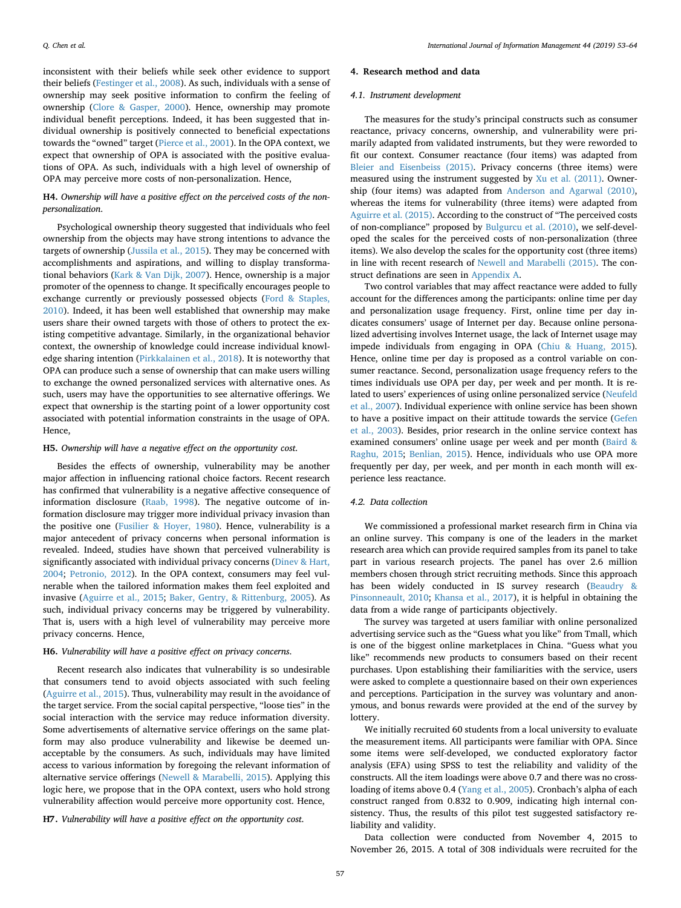inconsistent with their beliefs while seek other evidence to support their beliefs [\(Festinger et al., 2008\)](#page-10-43). As such, individuals with a sense of ownership may seek positive information to confirm the feeling of ownership [\(Clore & Gasper, 2000\)](#page-10-44). Hence, ownership may promote individual benefit perceptions. Indeed, it has been suggested that individual ownership is positively connected to beneficial expectations towards the "owned" target ([Pierce et al., 2001\)](#page-11-18). In the OPA context, we expect that ownership of OPA is associated with the positive evaluations of OPA. As such, individuals with a high level of ownership of OPA may perceive more costs of non-personalization. Hence,

# **H4.** *Ownership will have a positive effect on the perceived costs of the nonpersonalization*.

Psychological ownership theory suggested that individuals who feel ownership from the objects may have strong intentions to advance the targets of ownership [\(Jussila et al., 2015\)](#page-10-29). They may be concerned with accomplishments and aspirations, and willing to display transformational behaviors ([Kark & Van Dijk, 2007](#page-10-45)). Hence, ownership is a major promoter of the openness to change. It specifically encourages people to exchange currently or previously possessed objects ([Ford & Staples,](#page-10-46) [2010\)](#page-10-46). Indeed, it has been well established that ownership may make users share their owned targets with those of others to protect the existing competitive advantage. Similarly, in the organizational behavior context, the ownership of knowledge could increase individual knowledge sharing intention ([Pirkkalainen et al., 2018\)](#page-11-13). It is noteworthy that OPA can produce such a sense of ownership that can make users willing to exchange the owned personalized services with alternative ones. As such, users may have the opportunities to see alternative offerings. We expect that ownership is the starting point of a lower opportunity cost associated with potential information constraints in the usage of OPA. Hence,

## **H5.** *Ownership will have a negative effect on the opportunity cost*.

Besides the effects of ownership, vulnerability may be another major affection in influencing rational choice factors. Recent research has confirmed that vulnerability is a negative affective consequence of information disclosure [\(Raab, 1998\)](#page-11-19). The negative outcome of information disclosure may trigger more individual privacy invasion than the positive one ([Fusilier & Hoyer, 1980\)](#page-10-47). Hence, vulnerability is a major antecedent of privacy concerns when personal information is revealed. Indeed, studies have shown that perceived vulnerability is significantly associated with individual privacy concerns ([Dinev & Hart,](#page-10-48) [2004;](#page-10-48) [Petronio, 2012\)](#page-11-20). In the OPA context, consumers may feel vulnerable when the tailored information makes them feel exploited and invasive [\(Aguirre et al., 2015](#page-10-2); [Baker, Gentry, & Rittenburg, 2005\)](#page-10-49). As such, individual privacy concerns may be triggered by vulnerability. That is, users with a high level of vulnerability may perceive more privacy concerns. Hence,

## **H6.** *Vulnerability will have a positive effect on privacy concerns*.

Recent research also indicates that vulnerability is so undesirable that consumers tend to avoid objects associated with such feeling ([Aguirre et al., 2015](#page-10-2)). Thus, vulnerability may result in the avoidance of the target service. From the social capital perspective, "loose ties" in the social interaction with the service may reduce information diversity. Some advertisements of alternative service offerings on the same platform may also produce vulnerability and likewise be deemed unacceptable by the consumers. As such, individuals may have limited access to various information by foregoing the relevant information of alternative service offerings ([Newell & Marabelli, 2015](#page-10-3)). Applying this logic here, we propose that in the OPA context, users who hold strong vulnerability affection would perceive more opportunity cost. Hence,

# **H7.** *Vulnerability will have a positive effect on the opportunity cost*.

#### <span id="page-4-0"></span>**4. Research method and data**

#### *4.1. Instrument development*

The measures for the study's principal constructs such as consumer reactance, privacy concerns, ownership, and vulnerability were primarily adapted from validated instruments, but they were reworded to fit our context. Consumer reactance (four items) was adapted from [Bleier and Eisenbeiss \(2015\)](#page-10-11). Privacy concerns (three items) were measured using the instrument suggested by [Xu et al. \(2011\)](#page-11-8). Ownership (four items) was adapted from [Anderson and Agarwal \(2010\)](#page-10-31), whereas the items for vulnerability (three items) were adapted from [Aguirre et al. \(2015\)](#page-10-2). According to the construct of "The perceived costs of non-compliance" proposed by [Bulgurcu et al. \(2010\),](#page-10-14) we self-developed the scales for the perceived costs of non-personalization (three items). We also develop the scales for the opportunity cost (three items) in line with recent research of [Newell and Marabelli \(2015\)](#page-10-3). The construct definations are seen in [Appendix A](#page-8-1).

Two control variables that may affect reactance were added to fully account for the differences among the participants: online time per day and personalization usage frequency. First, online time per day indicates consumers' usage of Internet per day. Because online personalized advertising involves Internet usage, the lack of Internet usage may impede individuals from engaging in OPA [\(Chiu & Huang, 2015](#page-10-50)). Hence, online time per day is proposed as a control variable on consumer reactance. Second, personalization usage frequency refers to the times individuals use OPA per day, per week and per month. It is related to users' experiences of using online personalized service [\(Neufeld](#page-10-51) [et al., 2007\)](#page-10-51). Individual experience with online service has been shown to have a positive impact on their attitude towards the service [\(Gefen](#page-10-52) [et al., 2003](#page-10-52)). Besides, prior research in the online service context has examined consumers' online usage per week and per month [\(Baird &](#page-10-53) [Raghu, 2015;](#page-10-53) [Benlian, 2015](#page-10-54)). Hence, individuals who use OPA more frequently per day, per week, and per month in each month will experience less reactance.

## *4.2. Data collection*

We commissioned a professional market research firm in China via an online survey. This company is one of the leaders in the market research area which can provide required samples from its panel to take part in various research projects. The panel has over 2.6 million members chosen through strict recruiting methods. Since this approach has been widely conducted in IS survey research [\(Beaudry &](#page-10-55) [Pinsonneault, 2010](#page-10-55); [Khansa et al., 2017](#page-10-56)), it is helpful in obtaining the data from a wide range of participants objectively.

The survey was targeted at users familiar with online personalized advertising service such as the "Guess what you like" from Tmall, which is one of the biggest online marketplaces in China. "Guess what you like" recommends new products to consumers based on their recent purchases. Upon establishing their familiarities with the service, users were asked to complete a questionnaire based on their own experiences and perceptions. Participation in the survey was voluntary and anonymous, and bonus rewards were provided at the end of the survey by lottery.

We initially recruited 60 students from a local university to evaluate the measurement items. All participants were familiar with OPA. Since some items were self-developed, we conducted exploratory factor analysis (EFA) using SPSS to test the reliability and validity of the constructs. All the item loadings were above 0.7 and there was no crossloading of items above 0.4 ([Yang et al., 2005\)](#page-11-21). Cronbach's alpha of each construct ranged from 0.832 to 0.909, indicating high internal consistency. Thus, the results of this pilot test suggested satisfactory reliability and validity.

Data collection were conducted from November 4, 2015 to November 26, 2015. A total of 308 individuals were recruited for the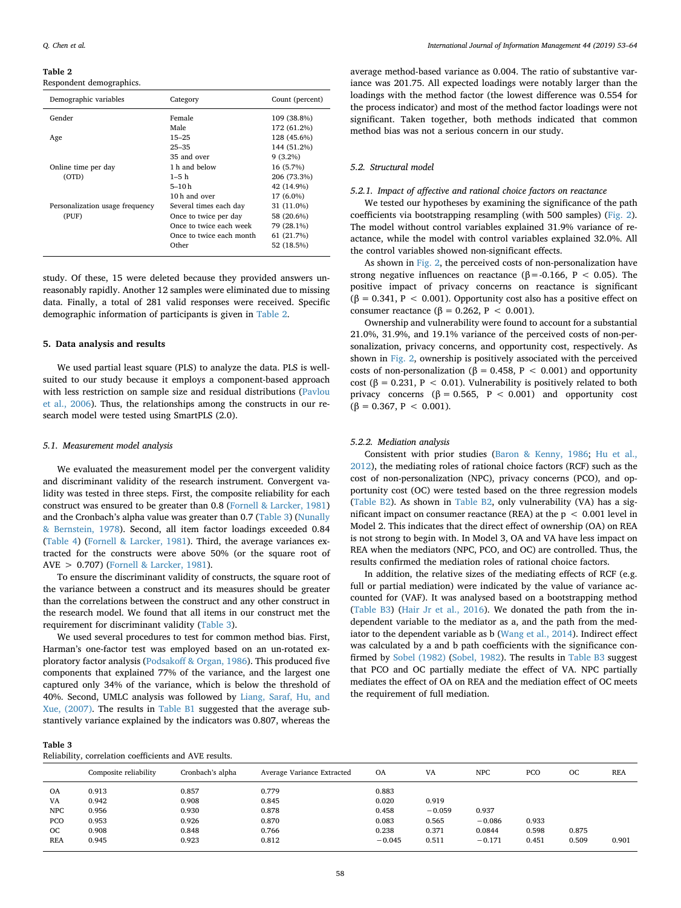#### <span id="page-5-1"></span>**Table 2**

Respondent demographics.

| Category                 | Count (percent) |
|--------------------------|-----------------|
| Female                   | 109 (38.8%)     |
| Male                     | 172 (61.2%)     |
| $15 - 25$                | 128 (45.6%)     |
| $25 - 35$                | 144 (51.2%)     |
| 35 and over              | $9(3.2\%)$      |
| 1 h and below            | 16 (5.7%)       |
| $1 - 5h$                 | 206 (73.3%)     |
| 5–10 h                   | 42 (14.9%)      |
| 10 <sub>h</sub> and over | 17 (6.0%)       |
| Several times each day   | 31 (11.0%)      |
| Once to twice per day    | 58 (20.6%)      |
| Once to twice each week  | 79 (28.1%)      |
| Once to twice each month | 61 (21.7%)      |
| Other                    | 52 (18.5%)      |
|                          |                 |

study. Of these, 15 were deleted because they provided answers unreasonably rapidly. Another 12 samples were eliminated due to missing data. Finally, a total of 281 valid responses were received. Specific demographic information of participants is given in [Table 2](#page-5-1).

#### <span id="page-5-0"></span>**5. Data analysis and results**

We used partial least square (PLS) to analyze the data. PLS is wellsuited to our study because it employs a component-based approach with less restriction on sample size and residual distributions ([Pavlou](#page-11-22) [et al., 2006](#page-11-22)). Thus, the relationships among the constructs in our research model were tested using SmartPLS (2.0).

## *5.1. Measurement model analysis*

We evaluated the measurement model per the convergent validity and discriminant validity of the research instrument. Convergent validity was tested in three steps. First, the composite reliability for each construct was ensured to be greater than 0.8 [\(Fornell & Larcker, 1981\)](#page-10-57) and the Cronbach's alpha value was greater than 0.7 ([Table 3\)](#page-5-2) ([Nunally](#page-11-23) [& Bernstein, 1978\)](#page-11-23). Second, all item factor loadings exceeded 0.84 ([Table 4\)](#page-6-0) ([Fornell & Larcker, 1981\)](#page-10-57). Third, the average variances extracted for the constructs were above 50% (or the square root of AVE > 0.707) [\(Fornell & Larcker, 1981](#page-10-57)).

To ensure the discriminant validity of constructs, the square root of the variance between a construct and its measures should be greater than the correlations between the construct and any other construct in the research model. We found that all items in our construct met the requirement for discriminant validity ([Table 3](#page-5-2)).

We used several procedures to test for common method bias. First, Harman's one-factor test was employed based on an un-rotated exploratory factor analysis [\(Podsakoff & Organ, 1986](#page-11-24)). This produced five components that explained 77% of the variance, and the largest one captured only 34% of the variance, which is below the threshold of 40%. Second, UMLC analysis was followed by [Liang, Saraf, Hu, and](#page-10-58) [Xue, \(2007\).](#page-10-58) The results in [Table B1](#page-9-0) suggested that the average substantively variance explained by the indicators was 0.807, whereas the

Reliability, correlation coefficients and AVE results.

average method-based variance as 0.004. The ratio of substantive variance was 201.75. All expected loadings were notably larger than the loadings with the method factor (the lowest difference was 0.554 for the process indicator) and most of the method factor loadings were not significant. Taken together, both methods indicated that common method bias was not a serious concern in our study.

# *5.2. Structural model*

# *5.2.1. Impact of affective and rational choice factors on reactance*

We tested our hypotheses by examining the significance of the path coefficients via bootstrapping resampling (with 500 samples) ([Fig. 2](#page-6-1)). The model without control variables explained 31.9% variance of reactance, while the model with control variables explained 32.0%. All the control variables showed non-significant effects.

As shown in [Fig. 2,](#page-6-1) the perceived costs of non-personalization have strong negative influences on reactance ( $\beta$  = -0.166, P < 0.05). The positive impact of privacy concerns on reactance is significant (β = 0.341, P < 0.001). Opportunity cost also has a positive effect on consumer reactance ( $\beta$  = 0.262, P < 0.001).

Ownership and vulnerability were found to account for a substantial 21.0%, 31.9%, and 19.1% variance of the perceived costs of non-personalization, privacy concerns, and opportunity cost, respectively. As shown in [Fig. 2](#page-6-1), ownership is positively associated with the perceived costs of non-personalization ( $\beta$  = 0.458, P < 0.001) and opportunity cost ( $\beta$  = 0.231, P < 0.01). Vulnerability is positively related to both privacy concerns ( $β = 0.565$ ,  $P < 0.001$ ) and opportunity cost  $(\beta = 0.367, P < 0.001).$ 

#### *5.2.2. Mediation analysis*

Consistent with prior studies [\(Baron & Kenny, 1986;](#page-10-59) [Hu et al.,](#page-10-60) [2012\)](#page-10-60), the mediating roles of rational choice factors (RCF) such as the cost of non-personalization (NPC), privacy concerns (PCO), and opportunity cost (OC) were tested based on the three regression models ([Table B2\)](#page-9-1). As shown in [Table B2](#page-9-1), only vulnerability (VA) has a significant impact on consumer reactance (REA) at the  $p < 0.001$  level in Model 2. This indicates that the direct effect of ownership (OA) on REA is not strong to begin with. In Model 3, OA and VA have less impact on REA when the mediators (NPC, PCO, and OC) are controlled. Thus, the results confirmed the mediation roles of rational choice factors.

In addition, the relative sizes of the mediating effects of RCF (e.g. full or partial mediation) were indicated by the value of variance accounted for (VAF). It was analysed based on a bootstrapping method ([Table B3\)](#page-9-2) [\(Hair Jr et al., 2016](#page-10-61)). We donated the path from the independent variable to the mediator as a, and the path from the mediator to the dependent variable as b [\(Wang et al., 2014\)](#page-11-25). Indirect effect was calculated by a and b path coefficients with the significance confirmed by [Sobel \(1982\)](#page-11-26) ([Sobel, 1982\)](#page-11-26). The results in [Table B3](#page-9-2) suggest that PCO and OC partially mediate the effect of VA. NPC partially mediates the effect of OA on REA and the mediation effect of OC meets the requirement of full mediation.

<span id="page-5-2"></span>

|            | Composite reliability | Cronbach's alpha | Average Variance Extracted | OA       | VA       | <b>NPC</b> | PCO   | OC    | <b>REA</b> |
|------------|-----------------------|------------------|----------------------------|----------|----------|------------|-------|-------|------------|
| <b>OA</b>  | 0.913                 | 0.857            | 0.779                      | 0.883    |          |            |       |       |            |
| VA         | 0.942                 | 0.908            | 0.845                      | 0.020    | 0.919    |            |       |       |            |
| <b>NPC</b> | 0.956                 | 0.930            | 0.878                      | 0.458    | $-0.059$ | 0.937      |       |       |            |
| PCO        | 0.953                 | 0.926            | 0.870                      | 0.083    | 0.565    | $-0.086$   | 0.933 |       |            |
| <b>OC</b>  | 0.908                 | 0.848            | 0.766                      | 0.238    | 0.371    | 0.0844     | 0.598 | 0.875 |            |
| <b>REA</b> | 0.945                 | 0.923            | 0.812                      | $-0.045$ | 0.511    | $-0.171$   | 0.451 | 0.509 | 0.901      |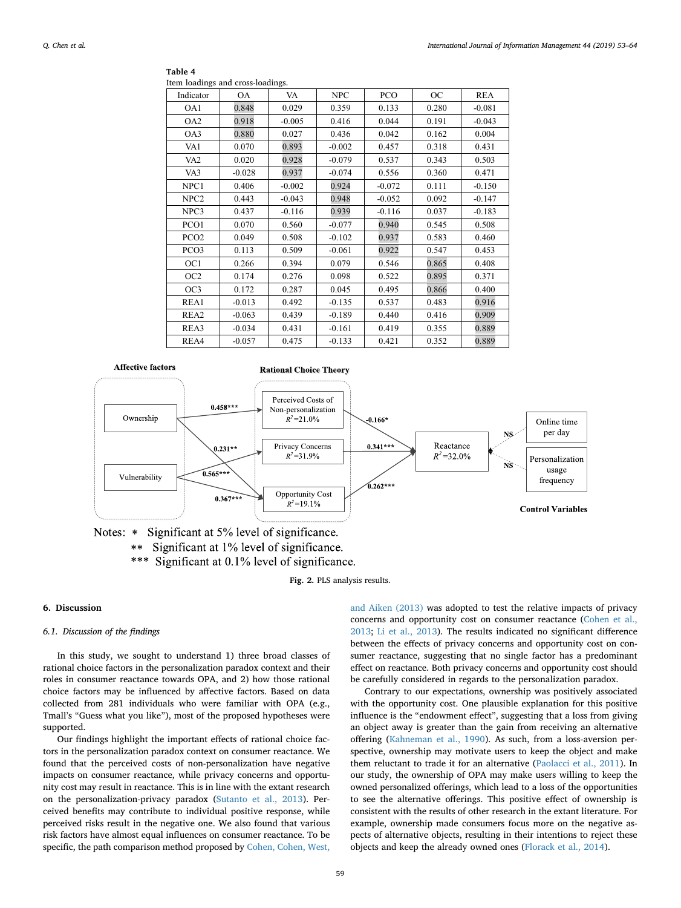#### <span id="page-6-0"></span>**Table 4** Item loadings and cross-loadings.

| rtem routango tint eroso routango. |           |          |            |          |       |          |
|------------------------------------|-----------|----------|------------|----------|-------|----------|
| Indicator                          | <b>OA</b> | VA       | <b>NPC</b> | PCO      | OC    | REA      |
| OA1                                | 0.848     | 0.029    | 0.359      | 0.133    | 0.280 | $-0.081$ |
| OA2                                | 0.918     | $-0.005$ | 0.416      | 0.044    | 0.191 | $-0.043$ |
| OA3                                | 0.880     | 0.027    | 0.436      | 0.042    | 0.162 | 0.004    |
| VA1                                | 0.070     | 0.893    | $-0.002$   | 0.457    | 0.318 | 0.431    |
| VA <sub>2</sub>                    | 0.020     | 0.928    | $-0.079$   | 0.537    | 0.343 | 0.503    |
| VA3                                | $-0.028$  | 0.937    | $-0.074$   | 0.556    | 0.360 | 0.471    |
| NPC1                               | 0.406     | $-0.002$ | 0.924      | $-0.072$ | 0.111 | $-0.150$ |
| NPC <sub>2</sub>                   | 0.443     | $-0.043$ | 0.948      | $-0.052$ | 0.092 | $-0.147$ |
| NPC3                               | 0.437     | $-0.116$ | 0.939      | $-0.116$ | 0.037 | $-0.183$ |
| PCO1                               | 0.070     | 0.560    | $-0.077$   | 0.940    | 0.545 | 0.508    |
| PCO <sub>2</sub>                   | 0.049     | 0.508    | $-0.102$   | 0.937    | 0.583 | 0.460    |
| PCO <sub>3</sub>                   | 0.113     | 0.509    | $-0.061$   | 0.922    | 0.547 | 0.453    |
| OC1                                | 0.266     | 0.394    | 0.079      | 0.546    | 0.865 | 0.408    |
| OC <sub>2</sub>                    | 0.174     | 0.276    | 0.098      | 0.522    | 0.895 | 0.371    |
| OC3                                | 0.172     | 0.287    | 0.045      | 0.495    | 0.866 | 0.400    |
| REA1                               | $-0.013$  | 0.492    | $-0.135$   | 0.537    | 0.483 | 0.916    |
| REA2                               | $-0.063$  | 0.439    | $-0.189$   | 0.440    | 0.416 | 0.909    |
| REA3                               | $-0.034$  | 0.431    | $-0.161$   | 0.419    | 0.355 | 0.889    |
| REA4                               | $-0.057$  | 0.475    | $-0.133$   | 0.421    | 0.352 | 0.889    |

<span id="page-6-1"></span>

Notes: \* Significant at 5% level of significance. Significant at 1% level of significance.  $**$ \*\*\* Significant at 0.1% level of significance.

**Fig. 2.** PLS analysis results.

#### **6. Discussion**

## *6.1. Discussion of the findings*

In this study, we sought to understand 1) three broad classes of rational choice factors in the personalization paradox context and their roles in consumer reactance towards OPA, and 2) how those rational choice factors may be influenced by affective factors. Based on data collected from 281 individuals who were familiar with OPA (e.g., Tmall's "Guess what you like"), most of the proposed hypotheses were supported.

Our findings highlight the important effects of rational choice factors in the personalization paradox context on consumer reactance. We found that the perceived costs of non-personalization have negative impacts on consumer reactance, while privacy concerns and opportunity cost may result in reactance. This is in line with the extant research on the personalization-privacy paradox [\(Sutanto et al., 2013\)](#page-11-1). Perceived benefits may contribute to individual positive response, while perceived risks result in the negative one. We also found that various risk factors have almost equal influences on consumer reactance. To be specific, the path comparison method proposed by [Cohen, Cohen, West,](#page-10-62)

[and Aiken \(2013\)](#page-10-62) was adopted to test the relative impacts of privacy concerns and opportunity cost on consumer reactance ([Cohen et al.,](#page-10-62) [2013;](#page-10-62) [Li et al., 2013](#page-10-63)). The results indicated no significant difference between the effects of privacy concerns and opportunity cost on consumer reactance, suggesting that no single factor has a predominant effect on reactance. Both privacy concerns and opportunity cost should be carefully considered in regards to the personalization paradox.

Contrary to our expectations, ownership was positively associated with the opportunity cost. One plausible explanation for this positive influence is the "endowment effect", suggesting that a loss from giving an object away is greater than the gain from receiving an alternative offering ([Kahneman et al., 1990](#page-10-64)). As such, from a loss-aversion perspective, ownership may motivate users to keep the object and make them reluctant to trade it for an alternative [\(Paolacci et al., 2011](#page-11-27)). In our study, the ownership of OPA may make users willing to keep the owned personalized offerings, which lead to a loss of the opportunities to see the alternative offerings. This positive effect of ownership is consistent with the results of other research in the extant literature. For example, ownership made consumers focus more on the negative aspects of alternative objects, resulting in their intentions to reject these objects and keep the already owned ones [\(Florack et al., 2014\)](#page-10-65).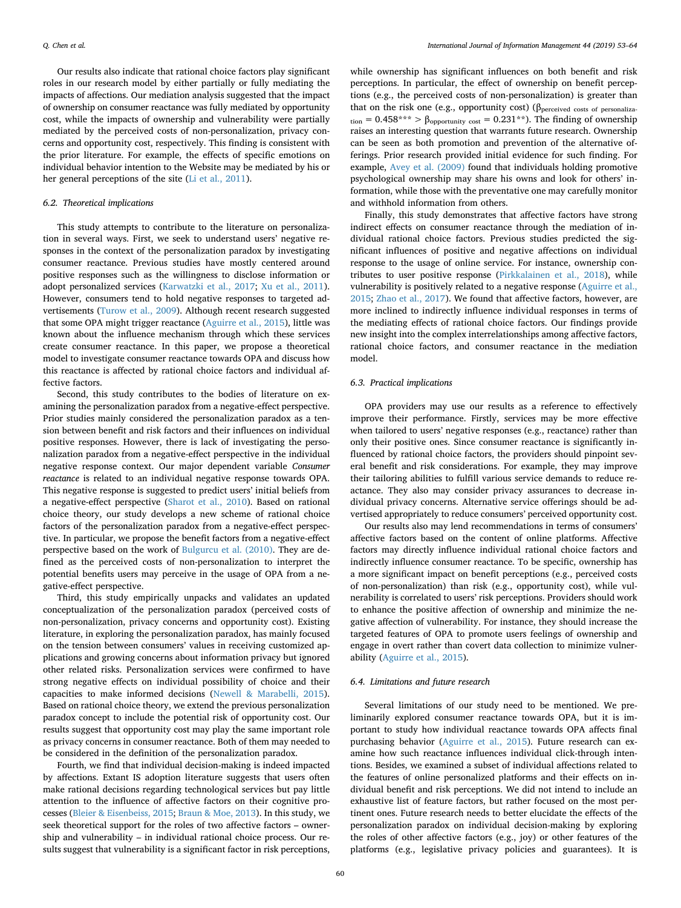Our results also indicate that rational choice factors play significant roles in our research model by either partially or fully mediating the impacts of affections. Our mediation analysis suggested that the impact of ownership on consumer reactance was fully mediated by opportunity cost, while the impacts of ownership and vulnerability were partially mediated by the perceived costs of non-personalization, privacy concerns and opportunity cost, respectively. This finding is consistent with the prior literature. For example, the effects of specific emotions on individual behavior intention to the Website may be mediated by his or her general perceptions of the site [\(Li et al., 2011](#page-10-32)).

# *6.2. Theoretical implications*

This study attempts to contribute to the literature on personalization in several ways. First, we seek to understand users' negative responses in the context of the personalization paradox by investigating consumer reactance. Previous studies have mostly centered around positive responses such as the willingness to disclose information or adopt personalized services [\(Karwatzki et al., 2017](#page-10-17); [Xu et al., 2011](#page-11-8)). However, consumers tend to hold negative responses to targeted advertisements ([Turow et al., 2009](#page-11-28)). Although recent research suggested that some OPA might trigger reactance [\(Aguirre et al., 2015\)](#page-10-2), little was known about the influence mechanism through which these services create consumer reactance. In this paper, we propose a theoretical model to investigate consumer reactance towards OPA and discuss how this reactance is affected by rational choice factors and individual affective factors.

Second, this study contributes to the bodies of literature on examining the personalization paradox from a negative-effect perspective. Prior studies mainly considered the personalization paradox as a tension between benefit and risk factors and their influences on individual positive responses. However, there is lack of investigating the personalization paradox from a negative-effect perspective in the individual negative response context. Our major dependent variable *Consumer reactance* is related to an individual negative response towards OPA. This negative response is suggested to predict users' initial beliefs from a negative-effect perspective [\(Sharot et al., 2010](#page-11-2)). Based on rational choice theory, our study develops a new scheme of rational choice factors of the personalization paradox from a negative-effect perspective. In particular, we propose the benefit factors from a negative-effect perspective based on the work of [Bulgurcu et al. \(2010\).](#page-10-14) They are defined as the perceived costs of non-personalization to interpret the potential benefits users may perceive in the usage of OPA from a negative-effect perspective.

Third, this study empirically unpacks and validates an updated conceptualization of the personalization paradox (perceived costs of non-personalization, privacy concerns and opportunity cost). Existing literature, in exploring the personalization paradox, has mainly focused on the tension between consumers' values in receiving customized applications and growing concerns about information privacy but ignored other related risks. Personalization services were confirmed to have strong negative effects on individual possibility of choice and their capacities to make informed decisions ([Newell & Marabelli, 2015](#page-10-3)). Based on rational choice theory, we extend the previous personalization paradox concept to include the potential risk of opportunity cost. Our results suggest that opportunity cost may play the same important role as privacy concerns in consumer reactance. Both of them may needed to be considered in the definition of the personalization paradox.

Fourth, we find that individual decision-making is indeed impacted by affections. Extant IS adoption literature suggests that users often make rational decisions regarding technological services but pay little attention to the influence of affective factors on their cognitive processes ([Bleier & Eisenbeiss, 2015;](#page-10-11) [Braun & Moe, 2013\)](#page-10-66). In this study, we seek theoretical support for the roles of two affective factors – ownership and vulnerability – in individual rational choice process. Our results suggest that vulnerability is a significant factor in risk perceptions,

while ownership has significant influences on both benefit and risk perceptions. In particular, the effect of ownership on benefit perceptions (e.g., the perceived costs of non-personalization) is greater than that on the risk one (e.g., opportunity cost) ( $\beta_{\text{perceived costs of personaliza-}}$  $t_{\text{tion}} = 0.458***$  >  $\beta_{\text{onportunity cost}} = 0.231**$ ). The finding of ownership raises an interesting question that warrants future research. Ownership can be seen as both promotion and prevention of the alternative offerings. Prior research provided initial evidence for such finding. For example, [Avey et al. \(2009\)](#page-10-27) found that individuals holding promotive psychological ownership may share his owns and look for others' information, while those with the preventative one may carefully monitor and withhold information from others.

Finally, this study demonstrates that affective factors have strong indirect effects on consumer reactance through the mediation of individual rational choice factors. Previous studies predicted the significant influences of positive and negative affections on individual response to the usage of online service. For instance, ownership contributes to user positive response ([Pirkkalainen et al., 2018\)](#page-11-13), while vulnerability is positively related to a negative response ([Aguirre et al.,](#page-10-2) [2015;](#page-10-2) [Zhao et al., 2017\)](#page-11-14). We found that affective factors, however, are more inclined to indirectly influence individual responses in terms of the mediating effects of rational choice factors. Our findings provide new insight into the complex interrelationships among affective factors, rational choice factors, and consumer reactance in the mediation model.

#### *6.3. Practical implications*

OPA providers may use our results as a reference to effectively improve their performance. Firstly, services may be more effective when tailored to users' negative responses (e.g., reactance) rather than only their positive ones. Since consumer reactance is significantly influenced by rational choice factors, the providers should pinpoint several benefit and risk considerations. For example, they may improve their tailoring abilities to fulfill various service demands to reduce reactance. They also may consider privacy assurances to decrease individual privacy concerns. Alternative service offerings should be advertised appropriately to reduce consumers' perceived opportunity cost.

Our results also may lend recommendations in terms of consumers' affective factors based on the content of online platforms. Affective factors may directly influence individual rational choice factors and indirectly influence consumer reactance. To be specific, ownership has a more significant impact on benefit perceptions (e.g., perceived costs of non-personalization) than risk (e.g., opportunity cost), while vulnerability is correlated to users' risk perceptions. Providers should work to enhance the positive affection of ownership and minimize the negative affection of vulnerability. For instance, they should increase the targeted features of OPA to promote users feelings of ownership and engage in overt rather than covert data collection to minimize vulnerability ([Aguirre et al., 2015\)](#page-10-2).

## *6.4. Limitations and future research*

Several limitations of our study need to be mentioned. We preliminarily explored consumer reactance towards OPA, but it is important to study how individual reactance towards OPA affects final purchasing behavior [\(Aguirre et al., 2015](#page-10-2)). Future research can examine how such reactance influences individual click-through intentions. Besides, we examined a subset of individual affections related to the features of online personalized platforms and their effects on individual benefit and risk perceptions. We did not intend to include an exhaustive list of feature factors, but rather focused on the most pertinent ones. Future research needs to better elucidate the effects of the personalization paradox on individual decision-making by exploring the roles of other affective factors (e.g., joy) or other features of the platforms (e.g., legislative privacy policies and guarantees). It is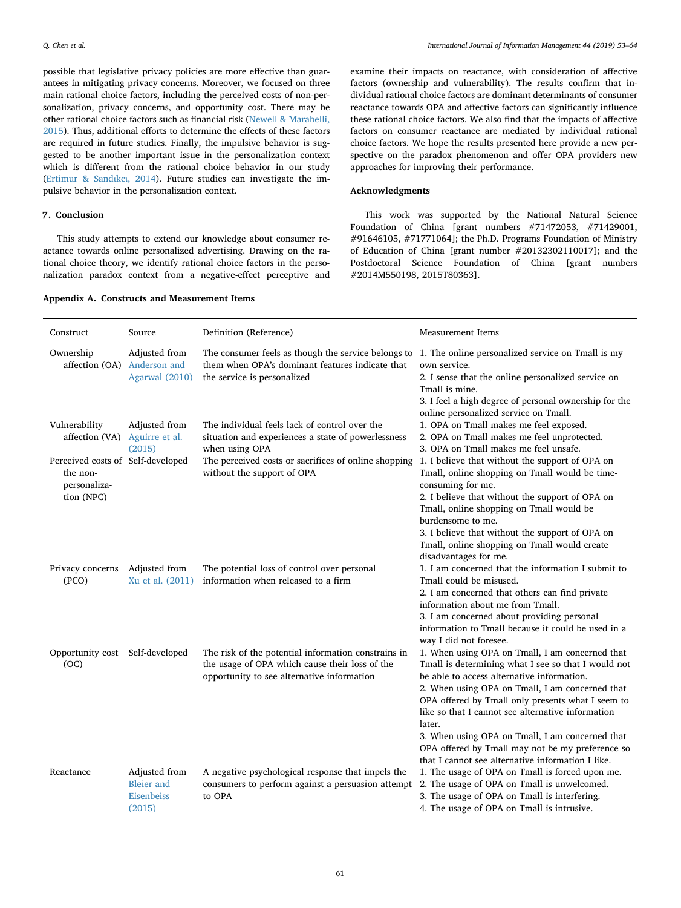possible that legislative privacy policies are more effective than guarantees in mitigating privacy concerns. Moreover, we focused on three main rational choice factors, including the perceived costs of non-personalization, privacy concerns, and opportunity cost. There may be other rational choice factors such as financial risk [\(Newell & Marabelli,](#page-10-3) [2015\)](#page-10-3). Thus, additional efforts to determine the effects of these factors are required in future studies. Finally, the impulsive behavior is suggested to be another important issue in the personalization context which is different from the rational choice behavior in our study ([Ertimur & Sand](#page-10-67)ιkcι, 2014). Future studies can investigate the impulsive behavior in the personalization context.

# <span id="page-8-0"></span>**7. Conclusion**

This study attempts to extend our knowledge about consumer reactance towards online personalized advertising. Drawing on the rational choice theory, we identify rational choice factors in the personalization paradox context from a negative-effect perceptive and

#### <span id="page-8-1"></span>**Appendix A. Constructs and Measurement Items**

examine their impacts on reactance, with consideration of affective factors (ownership and vulnerability). The results confirm that individual rational choice factors are dominant determinants of consumer reactance towards OPA and affective factors can significantly influence these rational choice factors. We also find that the impacts of affective factors on consumer reactance are mediated by individual rational choice factors. We hope the results presented here provide a new perspective on the paradox phenomenon and offer OPA providers new approaches for improving their performance.

# **Acknowledgments**

This work was supported by the National Natural Science Foundation of China [grant numbers #71472053, #71429001, #91646105, #71771064]; the Ph.D. Programs Foundation of Ministry of Education of China [grant number #20132302110017]; and the Postdoctoral Science Foundation of China [grant numbers #2014M550198, 2015T80363].

| Construct                                                                   | Source                                                     | Definition (Reference)                                                                                                                                                                  | <b>Measurement Items</b>                                                                                                                                                                                                                                                                                                                                                                                                                                                                |
|-----------------------------------------------------------------------------|------------------------------------------------------------|-----------------------------------------------------------------------------------------------------------------------------------------------------------------------------------------|-----------------------------------------------------------------------------------------------------------------------------------------------------------------------------------------------------------------------------------------------------------------------------------------------------------------------------------------------------------------------------------------------------------------------------------------------------------------------------------------|
| Ownership<br>affection (OA) Anderson and                                    | Adjusted from<br>Agarwal (2010)                            | The consumer feels as though the service belongs to 1. The online personalized service on Tmall is my<br>them when OPA's dominant features indicate that<br>the service is personalized | own service.<br>2. I sense that the online personalized service on<br>Tmall is mine.<br>3. I feel a high degree of personal ownership for the<br>online personalized service on Tmall.                                                                                                                                                                                                                                                                                                  |
| Vulnerability<br>affection (VA)                                             | Adjusted from<br>Aguirre et al.<br>(2015)                  | The individual feels lack of control over the<br>situation and experiences a state of powerlessness<br>when using OPA                                                                   | 1. OPA on Tmall makes me feel exposed.<br>2. OPA on Tmall makes me feel unprotected.<br>3. OPA on Tmall makes me feel unsafe.                                                                                                                                                                                                                                                                                                                                                           |
| Perceived costs of Self-developed<br>the non-<br>personaliza-<br>tion (NPC) |                                                            | The perceived costs or sacrifices of online shopping 1. I believe that without the support of OPA on<br>without the support of OPA                                                      | Tmall, online shopping on Tmall would be time-<br>consuming for me.<br>2. I believe that without the support of OPA on<br>Tmall, online shopping on Tmall would be<br>burdensome to me.<br>3. I believe that without the support of OPA on<br>Tmall, online shopping on Tmall would create<br>disadvantages for me.                                                                                                                                                                     |
| Privacy concerns<br>(PCO)                                                   | Adjusted from<br>Xu et al. (2011)                          | The potential loss of control over personal<br>information when released to a firm                                                                                                      | 1. I am concerned that the information I submit to<br>Tmall could be misused.<br>2. I am concerned that others can find private<br>information about me from Tmall.<br>3. I am concerned about providing personal<br>information to Tmall because it could be used in a<br>way I did not foresee.                                                                                                                                                                                       |
| Opportunity cost<br>(OC)                                                    | Self-developed                                             | The risk of the potential information constrains in<br>the usage of OPA which cause their loss of the<br>opportunity to see alternative information                                     | 1. When using OPA on Tmall, I am concerned that<br>Tmall is determining what I see so that I would not<br>be able to access alternative information.<br>2. When using OPA on Tmall, I am concerned that<br>OPA offered by Tmall only presents what I seem to<br>like so that I cannot see alternative information<br>later.<br>3. When using OPA on Tmall, I am concerned that<br>OPA offered by Tmall may not be my preference so<br>that I cannot see alternative information I like. |
| Reactance                                                                   | Adjusted from<br><b>Bleier</b> and<br>Eisenbeiss<br>(2015) | A negative psychological response that impels the<br>consumers to perform against a persuasion attempt<br>to OPA                                                                        | 1. The usage of OPA on Tmall is forced upon me.<br>2. The usage of OPA on Tmall is unwelcomed.<br>3. The usage of OPA on Tmall is interfering.<br>4. The usage of OPA on Tmall is intrusive.                                                                                                                                                                                                                                                                                            |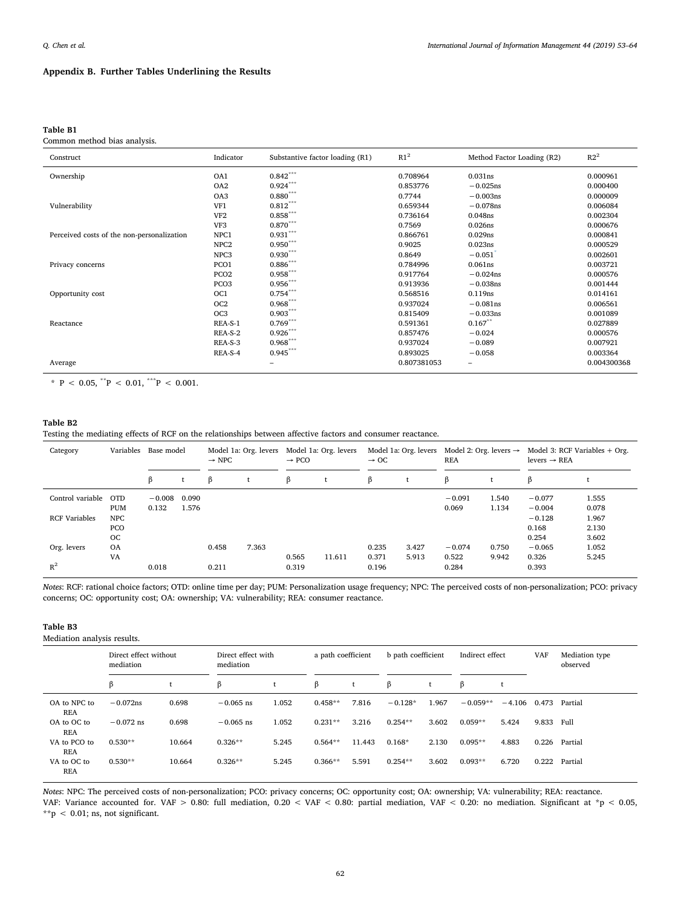# **Appendix B. Further Tables Underlining the Results**

## <span id="page-9-0"></span>**Table B1**

Common method bias analysis.

| Construct                                  | Indicator        | Substantive factor loading (R1) | R1 <sup>2</sup> | Method Factor Loading (R2) | R2 <sup>2</sup> |
|--------------------------------------------|------------------|---------------------------------|-----------------|----------------------------|-----------------|
| Ownership                                  | OA1              | $0.842***$                      | 0.708964        | 0.031ns                    | 0.000961        |
|                                            | OA <sub>2</sub>  | $0.924***$                      | 0.853776        | $-0.025ns$                 | 0.000400        |
|                                            | OA3              | $0.880$ ***                     | 0.7744          | $-0.003$ ns                | 0.000009        |
| Vulnerability                              | VF1              | $0.812^{\ast\ast\ast}$          | 0.659344        | $-0.078$ ns                | 0.006084        |
|                                            | VF <sub>2</sub>  | $0.858^{\ast\ast\ast}$          | 0.736164        | 0.048ns                    | 0.002304        |
|                                            | VF3              | $0.870***$                      | 0.7569          | 0.026ns                    | 0.000676        |
| Perceived costs of the non-personalization | NPC1             | $0.931***$                      | 0.866761        | 0.029ns                    | 0.000841        |
|                                            | NPC <sub>2</sub> | $0.950***$                      | 0.9025          | 0.023ns                    | 0.000529        |
|                                            | NPC <sub>3</sub> | $0.930^{\ast\ast\ast}$          | 0.8649          | $-0.051$                   | 0.002601        |
| Privacy concerns                           | PCO1             | $0.886^{\ast\ast\ast}$          | 0.784996        | 0.061ns                    | 0.003721        |
|                                            | PCO <sub>2</sub> | $0.958***$                      | 0.917764        | $-0.024$ ns                | 0.000576        |
|                                            | PCO <sub>3</sub> | $0.956***$                      | 0.913936        | $-0.038$ ns                | 0.001444        |
| Opportunity cost                           | OC <sub>1</sub>  | $0.754***$                      | 0.568516        | 0.119ns                    | 0.014161        |
|                                            | OC <sub>2</sub>  | $0.968***$                      | 0.937024        | $-0.081$ ns                | 0.006561        |
|                                            | OC <sub>3</sub>  | $0.903***$                      | 0.815409        | $-0.033ns$                 | 0.001089        |
| Reactance                                  | REA-S-1          | $0.769***$                      | 0.591361        | $0.167**$                  | 0.027889        |
|                                            | REA-S-2          | $0.926***$                      | 0.857476        | $-0.024$                   | 0.000576        |
|                                            | REA-S-3          | $0.968***$                      | 0.937024        | $-0.089$                   | 0.007921        |
|                                            | REA-S-4          | $0.945***$                      | 0.893025        | $-0.058$                   | 0.003364        |
| Average                                    |                  | $\overline{\phantom{0}}$        | 0.807381053     | $\qquad \qquad$            | 0.004300368     |

<span id="page-9-3"></span>\*  $P$  < 0.05, \*\* $P$  < 0.01, \*\*\* $P$  < 0.001.

# <span id="page-9-1"></span>**Table B2**

Testing the mediating effects of RCF on the relationships between affective factors and consumer reactance.

| Category             | Variables             | Base model        |                | $\rightarrow$ NPC | Model 1a: Org. levers | $\rightarrow$ PCO | Model 1a: Org. levers | $\rightarrow$ OC | Model 1a: Org. levers | <b>REA</b>        | Model 2: Org. levers $\rightarrow$ | levers $\rightarrow$ REA   | Model 3: RCF Variables $+$ Org. |
|----------------------|-----------------------|-------------------|----------------|-------------------|-----------------------|-------------------|-----------------------|------------------|-----------------------|-------------------|------------------------------------|----------------------------|---------------------------------|
|                      |                       | β                 |                | ß                 |                       | β                 |                       | ß                |                       | ß                 |                                    | ß                          |                                 |
| Control variable OTD | <b>PUM</b>            | $-0.008$<br>0.132 | 0.090<br>1.576 |                   |                       |                   |                       |                  |                       | $-0.091$<br>0.069 | 1.540<br>1.134                     | $-0.077$<br>$-0.004$       | 1.555<br>0.078                  |
| <b>RCF Variables</b> | NPC<br><b>PCO</b>     |                   |                |                   |                       |                   |                       |                  |                       |                   |                                    | $-0.128$<br>0.168          | 1.967<br>2.130                  |
| Org. levers          | OC<br><b>OA</b><br>VA |                   |                | 0.458             | 7.363                 | 0.565             | 11.611                | 0.235<br>0.371   | 3.427<br>5.913        | $-0.074$<br>0.522 | 0.750<br>9.942                     | 0.254<br>$-0.065$<br>0.326 | 3.602<br>1.052<br>5.245         |
| $R^2$                |                       | 0.018             |                | 0.211             |                       | 0.319             |                       | 0.196            |                       | 0.284             |                                    | 0.393                      |                                 |

*Notes*: RCF: rational choice factors; OTD: online time per day; PUM: Personalization usage frequency; NPC: The perceived costs of non-personalization; PCO: privacy concerns; OC: opportunity cost; OA: ownership; VA: vulnerability; REA: consumer reactance.

# <span id="page-9-2"></span>**Table B3**

Mediation analysis results.

|                            | Direct effect without<br>mediation |        | Direct effect with<br>mediation |       |           | a path coefficient |           | b path coefficient |            | Indirect effect |       | Mediation type<br>observed |
|----------------------------|------------------------------------|--------|---------------------------------|-------|-----------|--------------------|-----------|--------------------|------------|-----------------|-------|----------------------------|
|                            | β                                  |        | β                               |       | β         |                    | β         |                    | β          |                 |       |                            |
| OA to NPC to<br><b>REA</b> | $-0.072$ ns                        | 0.698  | $-0.065$ ns                     | 1.052 | $0.458**$ | 7.816              | $-0.128*$ | 1.967              | $-0.059**$ | $-4.106$        | 0.473 | Partial                    |
| OA to OC to<br><b>REA</b>  | $-0.072$ ns                        | 0.698  | $-0.065$ ns                     | 1.052 | $0.231**$ | 3.216              | $0.254**$ | 3.602              | $0.059**$  | 5.424           | 9.833 | Full                       |
| VA to PCO to<br><b>REA</b> | $0.530**$                          | 10.664 | $0.326**$                       | 5.245 | $0.564**$ | 11.443             | $0.168*$  | 2.130              | $0.095**$  | 4.883           | 0.226 | Partial                    |
| VA to OC to<br><b>REA</b>  | $0.530**$                          | 10.664 | $0.326**$                       | 5.245 | $0.366**$ | 5.591              | $0.254**$ | 3.602              | $0.093**$  | 6.720           | 0.222 | Partial                    |

*Notes*: NPC: The perceived costs of non-personalization; PCO: privacy concerns; OC: opportunity cost; OA: ownership; VA: vulnerability; REA: reactance. VAF: Variance accounted for. VAF > 0.80: full mediation, 0.20 < VAF < 0.80: partial mediation, VAF < 0.20: no mediation. Significant at \*p < 0.05, \*\*p < 0.01; ns, not significant.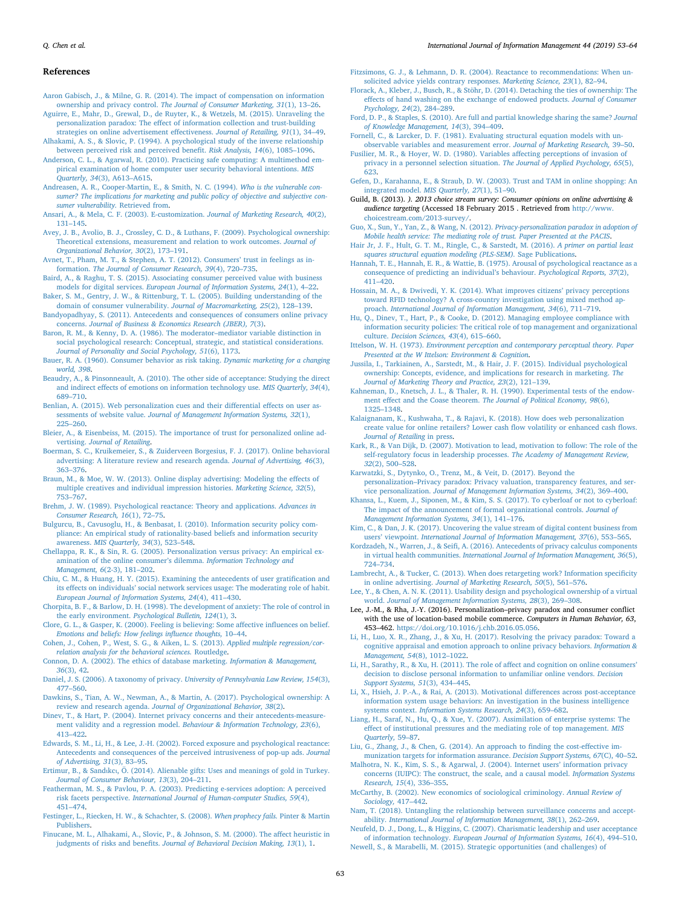#### *Q. Chen et al. International Journal of Information Management 44 (2019) 53–64*

#### **References**

- <span id="page-10-28"></span>[Aaron Gabisch, J., & Milne, G. R. \(2014\). The impact of compensation on information](http://refhub.elsevier.com/S0268-4012(18)30433-X/sbref0005) ownership and privacy control. *[The Journal of Consumer Marketing, 31](http://refhub.elsevier.com/S0268-4012(18)30433-X/sbref0005)*(1), 13–26.
- <span id="page-10-2"></span>[Aguirre, E., Mahr, D., Grewal, D., de Ruyter, K., & Wetzels, M. \(2015\). Unraveling the](http://refhub.elsevier.com/S0268-4012(18)30433-X/sbref0010) [personalization paradox: The effect of information collection and trust-building](http://refhub.elsevier.com/S0268-4012(18)30433-X/sbref0010) [strategies on online advertisement effectiveness.](http://refhub.elsevier.com/S0268-4012(18)30433-X/sbref0010) *Journal of Retailing, 91*(1), 34–49.
- <span id="page-10-21"></span>[Alhakami, A. S., & Slovic, P. \(1994\). A psychological study of the inverse relationship](http://refhub.elsevier.com/S0268-4012(18)30433-X/sbref0015) [between perceived risk and perceived benefit.](http://refhub.elsevier.com/S0268-4012(18)30433-X/sbref0015) *Risk Analysis, 14*(6), 1085–1096.
- <span id="page-10-31"></span>[Anderson, C. L., & Agarwal, R. \(2010\). Practicing safe computing: A multimethod em](http://refhub.elsevier.com/S0268-4012(18)30433-X/sbref0020)[pirical examination of home computer user security behavioral intentions.](http://refhub.elsevier.com/S0268-4012(18)30433-X/sbref0020) *MIS Quarterly, 34*[\(3\), A613–A615.](http://refhub.elsevier.com/S0268-4012(18)30433-X/sbref0020)
- <span id="page-10-34"></span>[Andreasen, A. R., Cooper-Martin, E., & Smith, N. C. \(1994\).](http://refhub.elsevier.com/S0268-4012(18)30433-X/sbref0025) *Who is the vulnerable con[sumer? The implications for marketing and public policy of objective and subjective con](http://refhub.elsevier.com/S0268-4012(18)30433-X/sbref0025)[sumer vulnerability.](http://refhub.elsevier.com/S0268-4012(18)30433-X/sbref0025)* Retrieved from.
- <span id="page-10-38"></span>[Ansari, A., & Mela, C. F. \(2003\). E-customization.](http://refhub.elsevier.com/S0268-4012(18)30433-X/sbref0030) *Journal of Marketing Research, 40*(2), [131–145](http://refhub.elsevier.com/S0268-4012(18)30433-X/sbref0030).
- <span id="page-10-27"></span>[Avey, J. B., Avolio, B. J., Crossley, C. D., & Luthans, F. \(2009\). Psychological ownership:](http://refhub.elsevier.com/S0268-4012(18)30433-X/sbref0035) [Theoretical extensions, measurement and relation to work outcomes.](http://refhub.elsevier.com/S0268-4012(18)30433-X/sbref0035) *Journal of [Organizational Behavior, 30](http://refhub.elsevier.com/S0268-4012(18)30433-X/sbref0035)*(2), 173–191.
- <span id="page-10-25"></span>[Avnet, T., Pham, M. T., & Stephen, A. T. \(2012\). Consumers' trust in feelings as in](http://refhub.elsevier.com/S0268-4012(18)30433-X/sbref0040)formation. *[The Journal of Consumer Research, 39](http://refhub.elsevier.com/S0268-4012(18)30433-X/sbref0040)*(4), 720–735.
- <span id="page-10-53"></span>[Baird, A., & Raghu, T. S. \(2015\). Associating consumer perceived value with business](http://refhub.elsevier.com/S0268-4012(18)30433-X/sbref0045) models for digital services. *[European Journal of Information Systems, 24](http://refhub.elsevier.com/S0268-4012(18)30433-X/sbref0045)*(1), 4–22.
- <span id="page-10-49"></span>[Baker, S. M., Gentry, J. W., & Rittenburg, T. L. \(2005\). Building understanding of the](http://refhub.elsevier.com/S0268-4012(18)30433-X/sbref0050) [domain of consumer vulnerability.](http://refhub.elsevier.com/S0268-4012(18)30433-X/sbref0050) *Journal of Macromarketing, 25*(2), 128–139. [Bandyopadhyay, S. \(2011\). Antecedents and consequences of consumers online privacy](http://refhub.elsevier.com/S0268-4012(18)30433-X/sbref0055)
- <span id="page-10-59"></span><span id="page-10-10"></span>concerns. *[Journal of Business & Economics Research \(JBER\), 7](http://refhub.elsevier.com/S0268-4012(18)30433-X/sbref0055)*(3). [Baron, R. M., & Kenny, D. A. \(1986\). The moderator–mediator variable distinction in](http://refhub.elsevier.com/S0268-4012(18)30433-X/sbref0060)
- [social psychological research: Conceptual, strategic, and statistical considerations.](http://refhub.elsevier.com/S0268-4012(18)30433-X/sbref0060) *[Journal of Personality and Social Psychology, 51](http://refhub.elsevier.com/S0268-4012(18)30433-X/sbref0060)*(6), 1173.
- <span id="page-10-20"></span>[Bauer, R. A. \(1960\). Consumer behavior as risk taking.](http://refhub.elsevier.com/S0268-4012(18)30433-X/sbref0065) *Dynamic marketing for a changing [world, 398](http://refhub.elsevier.com/S0268-4012(18)30433-X/sbref0065)*.
- <span id="page-10-55"></span>[Beaudry, A., & Pinsonneault, A. \(2010\). The other side of acceptance: Studying the direct](http://refhub.elsevier.com/S0268-4012(18)30433-X/sbref0070) [and indirect effects of emotions on information technology use.](http://refhub.elsevier.com/S0268-4012(18)30433-X/sbref0070) *MIS Quarterly, 34*(4), [689–710](http://refhub.elsevier.com/S0268-4012(18)30433-X/sbref0070).
- <span id="page-10-54"></span>[Benlian, A. \(2015\). Web personalization cues and their differential effects on user as](http://refhub.elsevier.com/S0268-4012(18)30433-X/sbref0075)sessments of website value. *[Journal of Management Information Systems, 32](http://refhub.elsevier.com/S0268-4012(18)30433-X/sbref0075)*(1), [225–260](http://refhub.elsevier.com/S0268-4012(18)30433-X/sbref0075).
- <span id="page-10-11"></span>[Bleier, A., & Eisenbeiss, M. \(2015\). The importance of trust for personalized online ad](http://refhub.elsevier.com/S0268-4012(18)30433-X/sbref0080)vertising. *[Journal of Retailing](http://refhub.elsevier.com/S0268-4012(18)30433-X/sbref0080)*.
- <span id="page-10-35"></span>[Boerman, S. C., Kruikemeier, S., & Zuiderveen Borgesius, F. J. \(2017\). Online behavioral](http://refhub.elsevier.com/S0268-4012(18)30433-X/sbref0085) [advertising: A literature review and research agenda.](http://refhub.elsevier.com/S0268-4012(18)30433-X/sbref0085) *Journal of Advertising, 46*(3), [363–376](http://refhub.elsevier.com/S0268-4012(18)30433-X/sbref0085).
- <span id="page-10-66"></span>[Braun, M., & Moe, W. W. \(2013\). Online display advertising: Modeling the effects of](http://refhub.elsevier.com/S0268-4012(18)30433-X/sbref0090) [multiple creatives and individual impression histories.](http://refhub.elsevier.com/S0268-4012(18)30433-X/sbref0090) *Marketing Science, 32*(5), [753–767](http://refhub.elsevier.com/S0268-4012(18)30433-X/sbref0090).
- <span id="page-10-5"></span>[Brehm, J. W. \(1989\). Psychological reactance: Theory and applications.](http://refhub.elsevier.com/S0268-4012(18)30433-X/sbref0095) *Advances in [Consumer Research, 16](http://refhub.elsevier.com/S0268-4012(18)30433-X/sbref0095)*(1), 72–75.
- <span id="page-10-14"></span>[Bulgurcu, B., Cavusoglu, H., & Benbasat, I. \(2010\). Information security policy com](http://refhub.elsevier.com/S0268-4012(18)30433-X/sbref0100)[pliance: An empirical study of rationality-based beliefs and information security](http://refhub.elsevier.com/S0268-4012(18)30433-X/sbref0100) awareness. *[MIS Quarterly, 34](http://refhub.elsevier.com/S0268-4012(18)30433-X/sbref0100)*(3), 523–548.
- <span id="page-10-15"></span>[Chellappa, R. K., & Sin, R. G. \(2005\). Personalization versus privacy: An empirical ex](http://refhub.elsevier.com/S0268-4012(18)30433-X/sbref0105)[amination of the online consumer's dilemma.](http://refhub.elsevier.com/S0268-4012(18)30433-X/sbref0105) *Information Technology and Management, 6*[\(2-3\), 181–202.](http://refhub.elsevier.com/S0268-4012(18)30433-X/sbref0105)
- <span id="page-10-50"></span>[Chiu, C. M., & Huang, H. Y. \(2015\). Examining the antecedents of user gratification and](http://refhub.elsevier.com/S0268-4012(18)30433-X/sbref0110) [its effects on individuals' social network services usage: The moderating role of habit.](http://refhub.elsevier.com/S0268-4012(18)30433-X/sbref0110) *[European Journal of Information Systems, 24](http://refhub.elsevier.com/S0268-4012(18)30433-X/sbref0110)*(4), 411–430.
- <span id="page-10-37"></span>[Chorpita, B. F., & Barlow, D. H. \(1998\). The development of anxiety: The role of control in](http://refhub.elsevier.com/S0268-4012(18)30433-X/sbref0115) the early environment. *[Psychological Bulletin, 124](http://refhub.elsevier.com/S0268-4012(18)30433-X/sbref0115)*(1), 3.
- <span id="page-10-44"></span>[Clore, G. L., & Gasper, K. \(2000\). Feeling is believing: Some affective influences on belief.](http://refhub.elsevier.com/S0268-4012(18)30433-X/sbref0120) *[Emotions and beliefs: How feelings influence thoughts,](http://refhub.elsevier.com/S0268-4012(18)30433-X/sbref0120)* 10–44.
- <span id="page-10-62"></span>[Cohen, J., Cohen, P., West, S. G., & Aiken, L. S. \(2013\).](http://refhub.elsevier.com/S0268-4012(18)30433-X/sbref0125) *Applied multiple regression/cor[relation analysis for the behavioral sciences.](http://refhub.elsevier.com/S0268-4012(18)30433-X/sbref0125)* Routledge.
- <span id="page-10-42"></span>[Connon, D. A. \(2002\). The ethics of database marketing.](http://refhub.elsevier.com/S0268-4012(18)30433-X/sbref0130) *Information & Management, 36*[\(3\), 42](http://refhub.elsevier.com/S0268-4012(18)30433-X/sbref0130).
- <span id="page-10-40"></span>[Daniel, J. S. \(2006\). A taxonomy of privacy.](http://refhub.elsevier.com/S0268-4012(18)30433-X/sbref0135) *University of Pennsylvania Law Review, 154*(3), [477–560](http://refhub.elsevier.com/S0268-4012(18)30433-X/sbref0135).
- <span id="page-10-26"></span>[Dawkins, S., Tian, A. W., Newman, A., & Martin, A. \(2017\). Psychological ownership: A](http://refhub.elsevier.com/S0268-4012(18)30433-X/sbref0140) review and research agenda. *[Journal of Organizational Behavior, 38](http://refhub.elsevier.com/S0268-4012(18)30433-X/sbref0140)*(2).
- <span id="page-10-48"></span>[Dinev, T., & Hart, P. \(2004\). Internet privacy concerns and their antecedents-measure](http://refhub.elsevier.com/S0268-4012(18)30433-X/sbref0145)ment validity and a regression model. *[Behaviour & Information Technology, 23](http://refhub.elsevier.com/S0268-4012(18)30433-X/sbref0145)*(6), [413–422](http://refhub.elsevier.com/S0268-4012(18)30433-X/sbref0145).
- <span id="page-10-12"></span>[Edwards, S. M., Li, H., & Lee, J.-H. \(2002\). Forced exposure and psychological reactance:](http://refhub.elsevier.com/S0268-4012(18)30433-X/sbref0150) [Antecedents and consequences of the perceived intrusiveness of pop-up ads.](http://refhub.elsevier.com/S0268-4012(18)30433-X/sbref0150) *Journal [of Advertising, 31](http://refhub.elsevier.com/S0268-4012(18)30433-X/sbref0150)*(3), 83–95.
- <span id="page-10-67"></span>Ertimur, B., & Sandιkcι[, Ö. \(2014\). Alienable gifts: Uses and meanings of gold in Turkey.](http://refhub.elsevier.com/S0268-4012(18)30433-X/sbref0155) *[Journal of Consumer Behaviour, 13](http://refhub.elsevier.com/S0268-4012(18)30433-X/sbref0155)*(3), 204–211.
- <span id="page-10-19"></span>[Featherman, M. S., & Pavlou, P. A. \(2003\). Predicting e-services adoption: A perceived](http://refhub.elsevier.com/S0268-4012(18)30433-X/sbref0160) risk facets perspective. *[International Journal of Human-computer Studies, 59](http://refhub.elsevier.com/S0268-4012(18)30433-X/sbref0160)*(4), [451–474](http://refhub.elsevier.com/S0268-4012(18)30433-X/sbref0160).
- <span id="page-10-43"></span>[Festinger, L., Riecken, H. W., & Schachter, S. \(2008\).](http://refhub.elsevier.com/S0268-4012(18)30433-X/sbref0165) *When prophecy fails.* Pinter & Martin [Publishers.](http://refhub.elsevier.com/S0268-4012(18)30433-X/sbref0165)
- <span id="page-10-9"></span>[Finucane, M. L., Alhakami, A., Slovic, P., & Johnson, S. M. \(2000\). The affect heuristic in](http://refhub.elsevier.com/S0268-4012(18)30433-X/sbref0170) judgments of risks and benefits. *[Journal of Behavioral Decision Making, 13](http://refhub.elsevier.com/S0268-4012(18)30433-X/sbref0170)*(1), 1.

<span id="page-10-4"></span>[Fitzsimons, G. J., & Lehmann, D. R. \(2004\). Reactance to recommendations: When un](http://refhub.elsevier.com/S0268-4012(18)30433-X/sbref0175)[solicited advice yields contrary responses.](http://refhub.elsevier.com/S0268-4012(18)30433-X/sbref0175) *Marketing Science, 23*(1), 82–94.

- <span id="page-10-65"></span>[Florack, A., Kleber, J., Busch, R., & Stöhr, D. \(2014\). Detaching the ties of ownership: The](http://refhub.elsevier.com/S0268-4012(18)30433-X/sbref0180) [effects of hand washing on the exchange of endowed products.](http://refhub.elsevier.com/S0268-4012(18)30433-X/sbref0180) *Journal of Consumer [Psychology, 24](http://refhub.elsevier.com/S0268-4012(18)30433-X/sbref0180)*(2), 284–289.
- <span id="page-10-46"></span>[Ford, D. P., & Staples, S. \(2010\). Are full and partial knowledge sharing the same?](http://refhub.elsevier.com/S0268-4012(18)30433-X/sbref0185) *Journal [of Knowledge Management, 14](http://refhub.elsevier.com/S0268-4012(18)30433-X/sbref0185)*(3), 394–409.
- <span id="page-10-57"></span>[Fornell, C., & Larcker, D. F. \(1981\). Evaluating structural equation models with un](http://refhub.elsevier.com/S0268-4012(18)30433-X/sbref0190)[observable variables and measurement error.](http://refhub.elsevier.com/S0268-4012(18)30433-X/sbref0190) *Journal of Marketing Research,* 39–50.
- <span id="page-10-47"></span>[Fusilier, M. R., & Hoyer, W. D. \(1980\). Variables affecting perceptions of invasion of](http://refhub.elsevier.com/S0268-4012(18)30433-X/sbref0195) [privacy in a personnel selection situation.](http://refhub.elsevier.com/S0268-4012(18)30433-X/sbref0195) *The Journal of Applied Psychology, 65*(5), [623](http://refhub.elsevier.com/S0268-4012(18)30433-X/sbref0195).
- <span id="page-10-52"></span>[Gefen, D., Karahanna, E., & Straub, D. W. \(2003\). Trust and TAM in online shopping: An](http://refhub.elsevier.com/S0268-4012(18)30433-X/sbref0200) [integrated model.](http://refhub.elsevier.com/S0268-4012(18)30433-X/sbref0200) *MIS Quarterly, 27*(1), 51–90.
- <span id="page-10-6"></span>Guild, B. (2013). *). 2013 choice stream survey: Consumer opinions on online advertising & audience targeting* (Accessed 18 February 2015 . Retrieved from [http://www.](http://www.choicestream.com/2013-survey/) [choicestream.com/2013-survey/.](http://www.choicestream.com/2013-survey/)
- <span id="page-10-16"></span>[Guo, X., Sun, Y., Yan, Z., & Wang, N. \(2012\).](http://refhub.elsevier.com/S0268-4012(18)30433-X/sbref0210) *Privacy-personalization paradox in adoption of [Mobile health service: The mediating role of trust. Paper Presented at the PACIS](http://refhub.elsevier.com/S0268-4012(18)30433-X/sbref0210)*.
- <span id="page-10-61"></span>[Hair Jr, J. F., Hult, G. T. M., Ringle, C., & Sarstedt, M. \(2016\).](http://refhub.elsevier.com/S0268-4012(18)30433-X/sbref0215) *A primer on partial least [squares structural equation modeling \(PLS-SEM\).](http://refhub.elsevier.com/S0268-4012(18)30433-X/sbref0215)* Sage Publications.
- <span id="page-10-13"></span>[Hannah, T. E., Hannah, E. R., & Wattie, B. \(1975\). Arousal of psychological reactance as a](http://refhub.elsevier.com/S0268-4012(18)30433-X/sbref0220) [consequence of predicting an individual's behaviour.](http://refhub.elsevier.com/S0268-4012(18)30433-X/sbref0220) *Psychological Reports, 37*(2),  $411 - 420$
- <span id="page-10-39"></span>[Hossain, M. A., & Dwivedi, Y. K. \(2014\). What improves citizens' privacy perceptions](http://refhub.elsevier.com/S0268-4012(18)30433-X/sbref0225) [toward RFID technology? A cross-country investigation using mixed method ap](http://refhub.elsevier.com/S0268-4012(18)30433-X/sbref0225)proach. *[International Journal of Information Management, 34](http://refhub.elsevier.com/S0268-4012(18)30433-X/sbref0225)*(6), 711–719.
- <span id="page-10-60"></span>[Hu, Q., Dinev, T., Hart, P., & Cooke, D. \(2012\). Managing employee compliance with](http://refhub.elsevier.com/S0268-4012(18)30433-X/sbref0230) [information security policies: The critical role of top management and organizational](http://refhub.elsevier.com/S0268-4012(18)30433-X/sbref0230) culture. *[Decision Sciences, 43](http://refhub.elsevier.com/S0268-4012(18)30433-X/sbref0230)*(4), 615–660.
- <span id="page-10-24"></span>Ittelson, W. H. (1973). *[Environment perception and contemporary perceptual theory. Paper](http://refhub.elsevier.com/S0268-4012(18)30433-X/sbref0235) [Presented at the W Ittelson: Environment & Cognition](http://refhub.elsevier.com/S0268-4012(18)30433-X/sbref0235)*.
- <span id="page-10-29"></span>[Jussila, I., Tarkiainen, A., Sarstedt, M., & Hair, J. F. \(2015\). Individual psychological](http://refhub.elsevier.com/S0268-4012(18)30433-X/sbref0240) [ownership: Concepts, evidence, and implications for research in marketing.](http://refhub.elsevier.com/S0268-4012(18)30433-X/sbref0240) *The [Journal of Marketing Theory and Practice, 23](http://refhub.elsevier.com/S0268-4012(18)30433-X/sbref0240)*(2), 121–139.
- <span id="page-10-64"></span>[Kahneman, D., Knetsch, J. L., & Thaler, R. H. \(1990\). Experimental tests of the endow](http://refhub.elsevier.com/S0268-4012(18)30433-X/sbref0245)[ment effect and the Coase theorem.](http://refhub.elsevier.com/S0268-4012(18)30433-X/sbref0245) *The Journal of Political Economy, 98*(6), [1325–1348](http://refhub.elsevier.com/S0268-4012(18)30433-X/sbref0245).
- <span id="page-10-36"></span>[Kalaignanam, K., Kushwaha, T., & Rajavi, K. \(2018\). How does web personalization](http://refhub.elsevier.com/S0268-4012(18)30433-X/sbref0250) [create value for online retailers? Lower cash flow volatility or enhanced cash flows.](http://refhub.elsevier.com/S0268-4012(18)30433-X/sbref0250) *[Journal of Retailing](http://refhub.elsevier.com/S0268-4012(18)30433-X/sbref0250)* in press.
- <span id="page-10-45"></span>[Kark, R., & Van Dijk, D. \(2007\). Motivation to lead, motivation to follow: The role of the](http://refhub.elsevier.com/S0268-4012(18)30433-X/sbref0255) [self-regulatory focus in leadership processes.](http://refhub.elsevier.com/S0268-4012(18)30433-X/sbref0255) *The Academy of Management Review, 32*[\(2\), 500–528.](http://refhub.elsevier.com/S0268-4012(18)30433-X/sbref0255)
- <span id="page-10-17"></span>[Karwatzki, S., Dytynko, O., Trenz, M., & Veit, D. \(2017\). Beyond the](http://refhub.elsevier.com/S0268-4012(18)30433-X/sbref0260) [personalization–Privacy paradox: Privacy valuation, transparency features, and ser](http://refhub.elsevier.com/S0268-4012(18)30433-X/sbref0260)vice personalization. *[Journal of Management Information Systems, 34](http://refhub.elsevier.com/S0268-4012(18)30433-X/sbref0260)*(2), 369–400.
- <span id="page-10-56"></span>[Khansa, L., Kuem, J., Siponen, M., & Kim, S. S. \(2017\). To cyberloaf or not to cyberloaf:](http://refhub.elsevier.com/S0268-4012(18)30433-X/sbref0265) [The impact of the announcement of formal organizational controls.](http://refhub.elsevier.com/S0268-4012(18)30433-X/sbref0265) *Journal of [Management Information Systems, 34](http://refhub.elsevier.com/S0268-4012(18)30433-X/sbref0265)*(1), 141–176.
- <span id="page-10-0"></span>[Kim, C., & Dan, J. K. \(2017\). Uncovering the value stream of digital content business from](http://refhub.elsevier.com/S0268-4012(18)30433-X/sbref0270) users' viewpoint. *[International Journal of Information Management, 37](http://refhub.elsevier.com/S0268-4012(18)30433-X/sbref0270)*(6), 553–565.
- <span id="page-10-23"></span>[Kordzadeh, N., Warren, J., & Seifi, A. \(2016\). Antecedents of privacy calculus components](http://refhub.elsevier.com/S0268-4012(18)30433-X/sbref0275) in virtual health communities. *[International Journal of Information Management, 36](http://refhub.elsevier.com/S0268-4012(18)30433-X/sbref0275)*(5), [724–734](http://refhub.elsevier.com/S0268-4012(18)30433-X/sbref0275).
- <span id="page-10-1"></span>[Lambrecht, A., & Tucker, C. \(2013\). When does retargeting work? Information specificity](http://refhub.elsevier.com/S0268-4012(18)30433-X/sbref0280) in online advertising. *[Journal of Marketing Research, 50](http://refhub.elsevier.com/S0268-4012(18)30433-X/sbref0280)*(5), 561–576.
- <span id="page-10-30"></span>[Lee, Y., & Chen, A. N. K. \(2011\). Usability design and psychological ownership of a virtual](http://refhub.elsevier.com/S0268-4012(18)30433-X/sbref0285) world. *[Journal of Management Information Systems, 28](http://refhub.elsevier.com/S0268-4012(18)30433-X/sbref0285)*(3), 269–308.
- <span id="page-10-18"></span>Lee, J.-M., & Rha, J.-Y. (2016). Personalization–privacy paradox and consumer conflict with the use of location-based mobile commerce. *Computers in Human Behavior, 63*, 453–462. <https://doi.org/10.1016/j.chb.2016.05.056>.
- <span id="page-10-7"></span>[Li, H., Luo, X. R., Zhang, J., & Xu, H. \(2017\). Resolving the privacy paradox: Toward a](http://refhub.elsevier.com/S0268-4012(18)30433-X/sbref0295) [cognitive appraisal and emotion approach to online privacy behaviors.](http://refhub.elsevier.com/S0268-4012(18)30433-X/sbref0295) *Information & [Management, 54](http://refhub.elsevier.com/S0268-4012(18)30433-X/sbref0295)*(8), 1012–1022.
- <span id="page-10-32"></span>[Li, H., Sarathy, R., & Xu, H. \(2011\). The role of affect and cognition on online consumers'](http://refhub.elsevier.com/S0268-4012(18)30433-X/sbref0300) [decision to disclose personal information to unfamiliar online vendors.](http://refhub.elsevier.com/S0268-4012(18)30433-X/sbref0300) *Decision [Support Systems, 51](http://refhub.elsevier.com/S0268-4012(18)30433-X/sbref0300)*(3), 434–445.
- <span id="page-10-63"></span>[Li, X., Hsieh, J. P.-A., & Rai, A. \(2013\). Motivational differences across post-acceptance](http://refhub.elsevier.com/S0268-4012(18)30433-X/sbref0305) [information system usage behaviors: An investigation in the business intelligence](http://refhub.elsevier.com/S0268-4012(18)30433-X/sbref0305) systems context. *[Information Systems Research, 24](http://refhub.elsevier.com/S0268-4012(18)30433-X/sbref0305)*(3), 659–682.
- <span id="page-10-58"></span>[Liang, H., Saraf, N., Hu, Q., & Xue, Y. \(2007\). Assimilation of enterprise systems: The](http://refhub.elsevier.com/S0268-4012(18)30433-X/sbref0310) [effect of institutional pressures and the mediating role of top management.](http://refhub.elsevier.com/S0268-4012(18)30433-X/sbref0310) *MIS [Quarterly,](http://refhub.elsevier.com/S0268-4012(18)30433-X/sbref0310)* 59–87.
- <span id="page-10-8"></span>[Liu, G., Zhang, J., & Chen, G. \(2014\). An approach to finding the cost-effective im](http://refhub.elsevier.com/S0268-4012(18)30433-X/sbref0315)[munization targets for information assurance.](http://refhub.elsevier.com/S0268-4012(18)30433-X/sbref0315) *Decision Support Systems, 67*(C), 40–52.
- <span id="page-10-33"></span>[Malhotra, N. K., Kim, S. S., & Agarwal, J. \(2004\). Internet users' information privacy](http://refhub.elsevier.com/S0268-4012(18)30433-X/sbref0320) [concerns \(IUIPC\): The construct, the scale, and a causal model.](http://refhub.elsevier.com/S0268-4012(18)30433-X/sbref0320) *Information Systems Research, 15*[\(4\), 336–355](http://refhub.elsevier.com/S0268-4012(18)30433-X/sbref0320).
- <span id="page-10-22"></span>[McCarthy, B. \(2002\). New economics of sociological criminology.](http://refhub.elsevier.com/S0268-4012(18)30433-X/sbref0325) *Annual Review of [Sociology,](http://refhub.elsevier.com/S0268-4012(18)30433-X/sbref0325)* 417–442.
- <span id="page-10-41"></span>[Nam, T. \(2018\). Untangling the relationship between surveillance concerns and accept](http://refhub.elsevier.com/S0268-4012(18)30433-X/sbref0330)ability. *[International Journal of Information Management, 38](http://refhub.elsevier.com/S0268-4012(18)30433-X/sbref0330)*(1), 262–269.
- <span id="page-10-51"></span><span id="page-10-3"></span>[Neufeld, D. J., Dong, L., & Higgins, C. \(2007\). Charismatic leadership and user acceptance](http://refhub.elsevier.com/S0268-4012(18)30433-X/sbref0335) of information technology. *[European Journal of Information Systems, 16](http://refhub.elsevier.com/S0268-4012(18)30433-X/sbref0335)*(4), 494–510. [Newell, S., & Marabelli, M. \(2015\). Strategic opportunities \(and challenges\) of](http://refhub.elsevier.com/S0268-4012(18)30433-X/sbref0340)

63